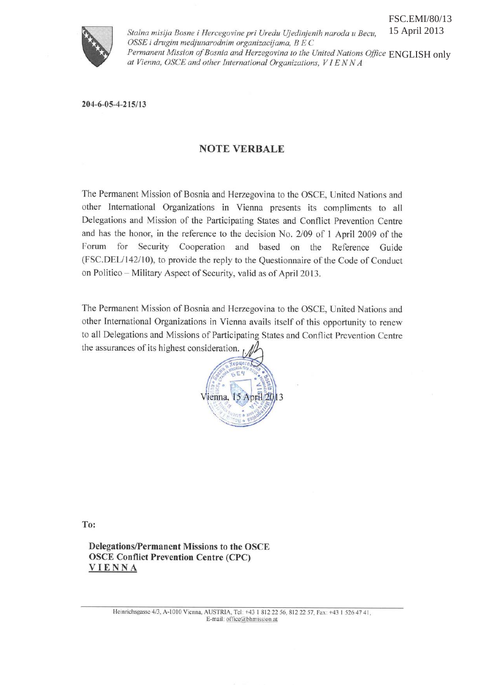

Stalna misija Bosne i Hercegovine pri Uredu Ujedinjenih naroda u Becu, 15 April 2013 OSSE i drugim medjunarodnim organizacijama, B E C ENGLISH onlyat Vienna, OSCE and other International Organizations, VIENNA

204-6-05-4-215/13

## **NOTE VERBALE**

The Permanent Mission of Bosnia and Herzegovina to the OSCE, United Nations and other International Organizations in Vienna presents its compliments to all Delegations and Mission of the Participating States and Conflict Prevention Centre and has the honor, in the reference to the decision No. 2/09 of 1 April 2009 of the Forum for Security Cooperation and based on the Reference Guide (FSC.DEL/142/10), to provide the reply to the Questionnaire of the Code of Conduct on Politico - Military Aspect of Security, valid as of April 2013.

The Permanent Mission of Bosnia and Herzegovina to the OSCE, United Nations and other International Organizations in Vienna avails itself of this opportunity to renew to all Delegations and Missions of Participating States and Conflict Prevention Centre the assurances of its highest consideration.



To:

**Delegations/Permanent Missions to the OSCE OSCE Conflict Prevention Centre (CPC) VIENNA**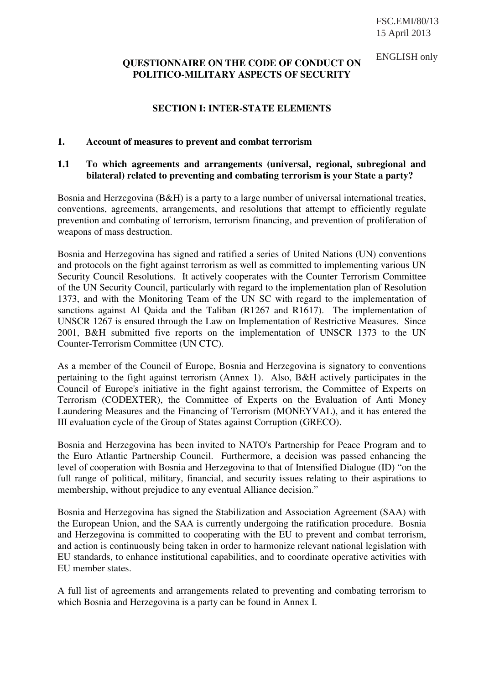### **QUESTIONNAIRE ON THE CODE OF CONDUCT ON POLITICO-MILITARY ASPECTS OF SECURITY**  ENGLISH only

## **SECTION I: INTER-STATE ELEMENTS**

### **1. Account of measures to prevent and combat terrorism**

## **1.1 To which agreements and arrangements (universal, regional, subregional and bilateral) related to preventing and combating terrorism is your State a party?**

Bosnia and Herzegovina (B&H) is a party to a large number of universal international treaties, conventions, agreements, arrangements, and resolutions that attempt to efficiently regulate prevention and combating of terrorism, terrorism financing, and prevention of proliferation of weapons of mass destruction.

Bosnia and Herzegovina has signed and ratified a series of United Nations (UN) conventions and protocols on the fight against terrorism as well as committed to implementing various UN Security Council Resolutions. It actively cooperates with the Counter Terrorism Committee of the UN Security Council, particularly with regard to the implementation plan of Resolution 1373, and with the Monitoring Team of the UN SC with regard to the implementation of sanctions against Al Qaida and the Taliban (R1267 and R1617). The implementation of UNSCR 1267 is ensured through the Law on Implementation of Restrictive Measures. Since 2001, B&H submitted five reports on the implementation of UNSCR 1373 to the UN Counter-Terrorism Committee (UN CTC).

As a member of the Council of Europe, Bosnia and Herzegovina is signatory to conventions pertaining to the fight against terrorism (Annex 1). Also, B&H actively participates in the Council of Europe's initiative in the fight against terrorism, the Committee of Experts on Terrorism (CODEXTER), the Committee of Experts on the Evaluation of Anti Money Laundering Measures and the Financing of Terrorism (MONEYVAL), and it has entered the III evaluation cycle of the Group of States against Corruption (GRECO).

Bosnia and Herzegovina has been invited to NATO's Partnership for Peace Program and to the Euro Atlantic Partnership Council. Furthermore, a decision was passed enhancing the level of cooperation with Bosnia and Herzegovina to that of Intensified Dialogue (ID) "on the full range of political, military, financial, and security issues relating to their aspirations to membership, without prejudice to any eventual Alliance decision."

Bosnia and Herzegovina has signed the Stabilization and Association Agreement (SAA) with the European Union, and the SAA is currently undergoing the ratification procedure. Bosnia and Herzegovina is committed to cooperating with the EU to prevent and combat terrorism, and action is continuously being taken in order to harmonize relevant national legislation with EU standards, to enhance institutional capabilities, and to coordinate operative activities with EU member states.

A full list of agreements and arrangements related to preventing and combating terrorism to which Bosnia and Herzegovina is a party can be found in Annex I.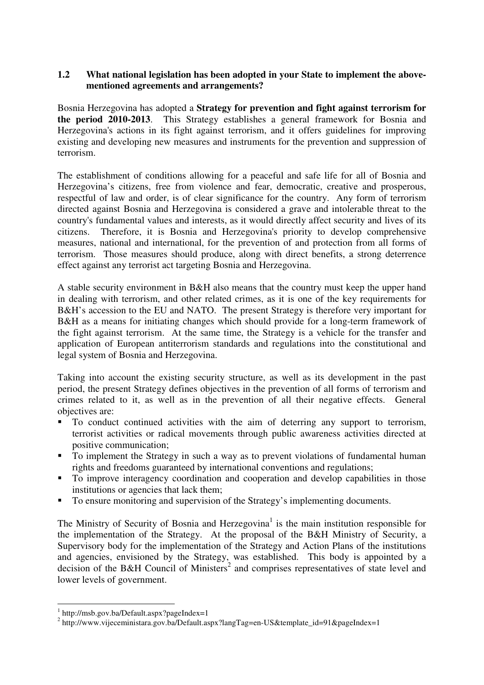## **1.2 What national legislation has been adopted in your State to implement the abovementioned agreements and arrangements?**

Bosnia Herzegovina has adopted a **Strategy for prevention and fight against terrorism for the period 2010-2013**. This Strategy establishes a general framework for Bosnia and Herzegovina's actions in its fight against terrorism, and it offers guidelines for improving existing and developing new measures and instruments for the prevention and suppression of terrorism.

The establishment of conditions allowing for a peaceful and safe life for all of Bosnia and Herzegovina's citizens, free from violence and fear, democratic, creative and prosperous, respectful of law and order, is of clear significance for the country. Any form of terrorism directed against Bosnia and Herzegovina is considered a grave and intolerable threat to the country's fundamental values and interests, as it would directly affect security and lives of its citizens. Therefore, it is Bosnia and Herzegovina's priority to develop comprehensive measures, national and international, for the prevention of and protection from all forms of terrorism. Those measures should produce, along with direct benefits, a strong deterrence effect against any terrorist act targeting Bosnia and Herzegovina.

A stable security environment in B&H also means that the country must keep the upper hand in dealing with terrorism, and other related crimes, as it is one of the key requirements for B&H's accession to the EU and NATO. The present Strategy is therefore very important for B&H as a means for initiating changes which should provide for a long-term framework of the fight against terrorism. At the same time, the Strategy is a vehicle for the transfer and application of European antiterrorism standards and regulations into the constitutional and legal system of Bosnia and Herzegovina.

Taking into account the existing security structure, as well as its development in the past period, the present Strategy defines objectives in the prevention of all forms of terrorism and crimes related to it, as well as in the prevention of all their negative effects. General objectives are:

- To conduct continued activities with the aim of deterring any support to terrorism, terrorist activities or radical movements through public awareness activities directed at positive communication;
- To implement the Strategy in such a way as to prevent violations of fundamental human rights and freedoms guaranteed by international conventions and regulations;
- $\blacksquare$  To improve interagency coordination and cooperation and develop capabilities in those institutions or agencies that lack them;
- To ensure monitoring and supervision of the Strategy's implementing documents.

The Ministry of Security of Bosnia and Herzegovina<sup>1</sup> is the main institution responsible for the implementation of the Strategy. At the proposal of the B&H Ministry of Security, a Supervisory body for the implementation of the Strategy and Action Plans of the institutions and agencies, envisioned by the Strategy, was established. This body is appointed by a decision of the B&H Council of Ministers<sup>2</sup> and comprises representatives of state level and lower levels of government.

<u>.</u>

<sup>1</sup> http://msb.gov.ba/Default.aspx?pageIndex=1

<sup>&</sup>lt;sup>2</sup> http://www.vijeceministara.gov.ba/Default.aspx?langTag=en-US&template\_id=91&pageIndex=1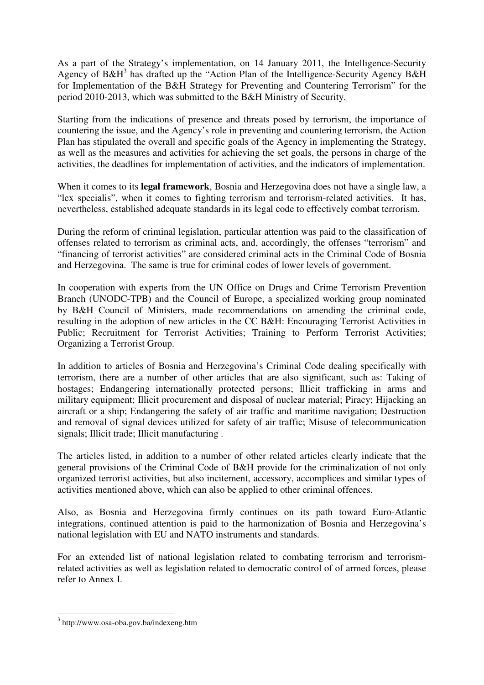As a part of the Strategy's implementation, on 14 January 2011, the Intelligence-Security Agency of B&H<sup>3</sup> has drafted up the "Action Plan of the Intelligence-Security Agency B&H for Implementation of the B&H Strategy for Preventing and Countering Terrorism" for the period 2010-2013, which was submitted to the B&H Ministry of Security.

Starting from the indications of presence and threats posed by terrorism, the importance of countering the issue, and the Agency's role in preventing and countering terrorism, the Action Plan has stipulated the overall and specific goals of the Agency in implementing the Strategy, as well as the measures and activities for achieving the set goals, the persons in charge of the activities, the deadlines for implementation of activities, and the indicators of implementation.

When it comes to its **legal framework**, Bosnia and Herzegovina does not have a single law, a "lex specialis", when it comes to fighting terrorism and terrorism-related activities. It has, nevertheless, established adequate standards in its legal code to effectively combat terrorism.

During the reform of criminal legislation, particular attention was paid to the classification of offenses related to terrorism as criminal acts, and, accordingly, the offenses "terrorism" and "financing of terrorist activities" are considered criminal acts in the Criminal Code of Bosnia and Herzegovina. The same is true for criminal codes of lower levels of government.

In cooperation with experts from the UN Office on Drugs and Crime Terrorism Prevention Branch (UNODC-TPB) and the Council of Europe, a specialized working group nominated by B&H Council of Ministers, made recommendations on amending the criminal code, resulting in the adoption of new articles in the CC B&H: Encouraging Terrorist Activities in Public; Recruitment for Terrorist Activities; Training to Perform Terrorist Activities; Organizing a Terrorist Group.

In addition to articles of Bosnia and Herzegovina's Criminal Code dealing specifically with terrorism, there are a number of other articles that are also significant, such as: Taking of hostages; Endangering internationally protected persons; Illicit trafficking in arms and military equipment; Illicit procurement and disposal of nuclear material; Piracy; Hijacking an aircraft or a ship; Endangering the safety of air traffic and maritime navigation; Destruction and removal of signal devices utilized for safety of air traffic; Misuse of telecommunication signals; Illicit trade; Illicit manufacturing .

The articles listed, in addition to a number of other related articles clearly indicate that the general provisions of the Criminal Code of B&H provide for the criminalization of not only organized terrorist activities, but also incitement, accessory, accomplices and similar types of activities mentioned above, which can also be applied to other criminal offences.

Also, as Bosnia and Herzegovina firmly continues on its path toward Euro-Atlantic integrations, continued attention is paid to the harmonization of Bosnia and Herzegovina's national legislation with EU and NATO instruments and standards.

For an extended list of national legislation related to combating terrorism and terrorismrelated activities as well as legislation related to democratic control of of armed forces, please refer to Annex I.

-

<sup>3</sup> http://www.osa-oba.gov.ba/indexeng.htm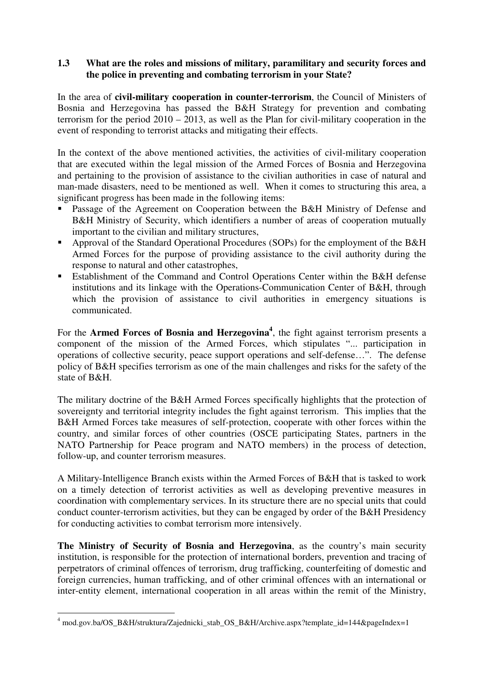# **1.3 What are the roles and missions of military, paramilitary and security forces and the police in preventing and combating terrorism in your State?**

In the area of **civil-military cooperation in counter-terrorism**, the Council of Ministers of Bosnia and Herzegovina has passed the B&H Strategy for prevention and combating terrorism for the period  $2010 - 2013$ , as well as the Plan for civil-military cooperation in the event of responding to terrorist attacks and mitigating their effects.

In the context of the above mentioned activities, the activities of civil-military cooperation that are executed within the legal mission of the Armed Forces of Bosnia and Herzegovina and pertaining to the provision of assistance to the civilian authorities in case of natural and man-made disasters, need to be mentioned as well. When it comes to structuring this area, a significant progress has been made in the following items:

- Passage of the Agreement on Cooperation between the B&H Ministry of Defense and B&H Ministry of Security, which identifiers a number of areas of cooperation mutually important to the civilian and military structures,
- Approval of the Standard Operational Procedures (SOPs) for the employment of the B&H Armed Forces for the purpose of providing assistance to the civil authority during the response to natural and other catastrophes,
- Establishment of the Command and Control Operations Center within the B&H defense institutions and its linkage with the Operations-Communication Center of B&H, through which the provision of assistance to civil authorities in emergency situations is communicated.

For the **Armed Forces of Bosnia and Herzegovina<sup>4</sup>**, the fight against terrorism presents a component of the mission of the Armed Forces, which stipulates "... participation in operations of collective security, peace support operations and self-defense…". The defense policy of B&H specifies terrorism as one of the main challenges and risks for the safety of the state of B&H.

The military doctrine of the B&H Armed Forces specifically highlights that the protection of sovereignty and territorial integrity includes the fight against terrorism. This implies that the B&H Armed Forces take measures of self-protection, cooperate with other forces within the country, and similar forces of other countries (OSCE participating States, partners in the NATO Partnership for Peace program and NATO members) in the process of detection, follow-up, and counter terrorism measures.

A Military-Intelligence Branch exists within the Armed Forces of B&H that is tasked to work on a timely detection of terrorist activities as well as developing preventive measures in coordination with complementary services. In its structure there are no special units that could conduct counter-terrorism activities, but they can be engaged by order of the B&H Presidency for conducting activities to combat terrorism more intensively.

**The Ministry of Security of Bosnia and Herzegovina**, as the country's main security institution, is responsible for the protection of international borders, prevention and tracing of perpetrators of criminal offences of terrorism, drug trafficking, counterfeiting of domestic and foreign currencies, human trafficking, and of other criminal offences with an international or inter-entity element, international cooperation in all areas within the remit of the Ministry,

 4 mod.gov.ba/OS\_B&H/struktura/Zajednicki\_stab\_OS\_B&H/Archive.aspx?template\_id=144&pageIndex=1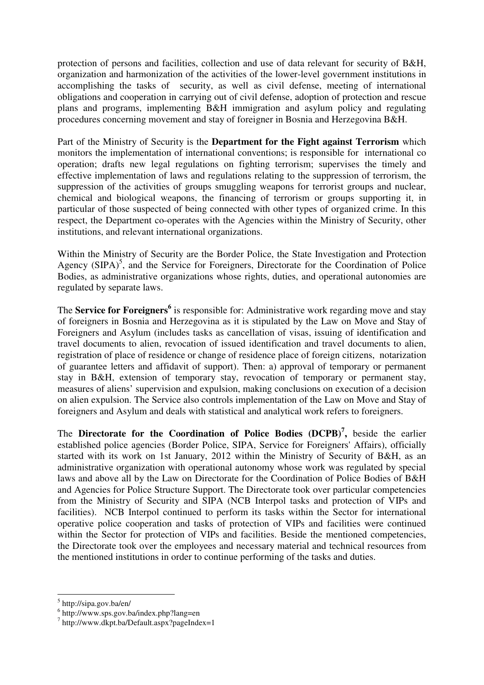protection of persons and facilities, collection and use of data relevant for security of B&H, organization and harmonization of the activities of the lower-level government institutions in accomplishing the tasks of security, as well as civil defense, meeting of international obligations and cooperation in carrying out of civil defense, adoption of protection and rescue plans and programs, implementing B&H immigration and asylum policy and regulating procedures concerning movement and stay of foreigner in Bosnia and Herzegovina B&H.

Part of the Ministry of Security is the **Department for the Fight against Terrorism** which monitors the implementation of international conventions; is responsible for international co operation; drafts new legal regulations on fighting terrorism; supervises the timely and effective implementation of laws and regulations relating to the suppression of terrorism, the suppression of the activities of groups smuggling weapons for terrorist groups and nuclear, chemical and biological weapons, the financing of terrorism or groups supporting it, in particular of those suspected of being connected with other types of organized crime. In this respect, the Department co-operates with the Agencies within the Ministry of Security, other institutions, and relevant international organizations.

Within the Ministry of Security are the Border Police, the State Investigation and Protection Agency  $(SIPA)^5$ , and the Service for Foreigners, Directorate for the Coordination of Police Bodies, as administrative organizations whose rights, duties, and operational autonomies are regulated by separate laws.

The **Service for Foreigners<sup>6</sup>** is responsible for: Administrative work regarding move and stay of foreigners in Bosnia and Herzegovina as it is stipulated by the Law on Move and Stay of Foreigners and Asylum (includes tasks as cancellation of visas, issuing of identification and travel documents to alien, revocation of issued identification and travel documents to alien, registration of place of residence or change of residence place of foreign citizens, notarization of guarantee letters and affidavit of support). Then: a) approval of temporary or permanent stay in B&H, extension of temporary stay, revocation of temporary or permanent stay, measures of aliens' supervision and expulsion, making conclusions on execution of a decision on alien expulsion. The Service also controls implementation of the Law on Move and Stay of foreigners and Asylum and deals with statistical and analytical work refers to foreigners.

The **Directorate for the Coordination of Police Bodies (DCPB)<sup>7</sup> ,** beside the earlier established police agencies (Border Police, SIPA, Service for Foreigners' Affairs), officially started with its work on 1st January, 2012 within the Ministry of Security of B&H, as an administrative organization with operational autonomy whose work was regulated by special laws and above all by the Law on Directorate for the Coordination of Police Bodies of B&H and Agencies for Police Structure Support. The Directorate took over particular competencies from the Ministry of Security and SIPA (NCB Interpol tasks and protection of VIPs and facilities). NCB Interpol continued to perform its tasks within the Sector for international operative police cooperation and tasks of protection of VIPs and facilities were continued within the Sector for protection of VIPs and facilities. Beside the mentioned competencies, the Directorate took over the employees and necessary material and technical resources from the mentioned institutions in order to continue performing of the tasks and duties.

<u>.</u>

<sup>5</sup> http://sipa.gov.ba/en/

 $^6$  http://www.sps.gov.ba/index.php?lang=en<br> $^7$  http://www.dkpt.be/Defeult.com?pecelpde

 $\frac{1}{1}$ http://www.dkpt.ba/Default.aspx?pageIndex=1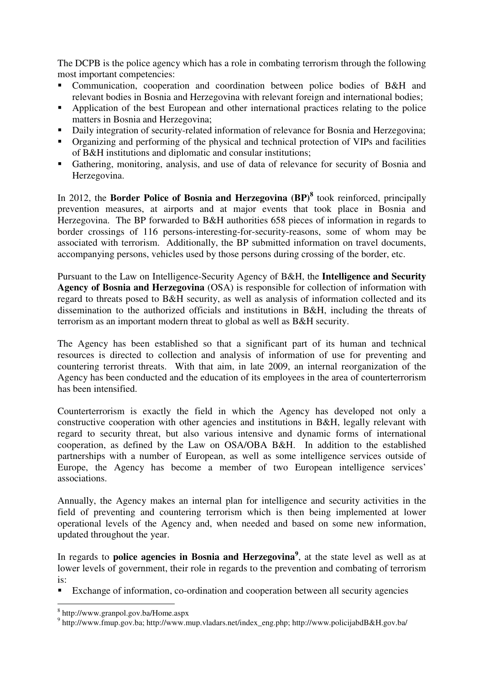The DCPB is the police agency which has a role in combating terrorism through the following most important competencies:

- Communication, cooperation and coordination between police bodies of B&H and relevant bodies in Bosnia and Herzegovina with relevant foreign and international bodies;
- Application of the best European and other international practices relating to the police matters in Bosnia and Herzegovina;
- Daily integration of security-related information of relevance for Bosnia and Herzegovina;
- Organizing and performing of the physical and technical protection of VIPs and facilities of B&H institutions and diplomatic and consular institutions;
- Gathering, monitoring, analysis, and use of data of relevance for security of Bosnia and Herzegovina.

In 2012, the **Border Police of Bosnia and Herzegovina (BP)<sup>8</sup>** took reinforced, principally prevention measures, at airports and at major events that took place in Bosnia and Herzegovina. The BP forwarded to B&H authorities 658 pieces of information in regards to border crossings of 116 persons-interesting-for-security-reasons, some of whom may be associated with terrorism. Additionally, the BP submitted information on travel documents, accompanying persons, vehicles used by those persons during crossing of the border, etc.

Pursuant to the Law on Intelligence-Security Agency of B&H, the **Intelligence and Security Agency of Bosnia and Herzegovina** (OSA) is responsible for collection of information with regard to threats posed to B&H security, as well as analysis of information collected and its dissemination to the authorized officials and institutions in B&H, including the threats of terrorism as an important modern threat to global as well as B&H security.

The Agency has been established so that a significant part of its human and technical resources is directed to collection and analysis of information of use for preventing and countering terrorist threats. With that aim, in late 2009, an internal reorganization of the Agency has been conducted and the education of its employees in the area of counterterrorism has been intensified.

Counterterrorism is exactly the field in which the Agency has developed not only a constructive cooperation with other agencies and institutions in B&H, legally relevant with regard to security threat, but also various intensive and dynamic forms of international cooperation, as defined by the Law on OSA/OBA B&H. In addition to the established partnerships with a number of European, as well as some intelligence services outside of Europe, the Agency has become a member of two European intelligence services' associations.

Annually, the Agency makes an internal plan for intelligence and security activities in the field of preventing and countering terrorism which is then being implemented at lower operational levels of the Agency and, when needed and based on some new information, updated throughout the year.

In regards to **police agencies in Bosnia and Herzegovina**<sup>9</sup>, at the state level as well as at lower levels of government, their role in regards to the prevention and combating of terrorism is:

Exchange of information, co-ordination and cooperation between all security agencies

<u>.</u>

<sup>8</sup> http://www.granpol.gov.ba/Home.aspx

<sup>9</sup> http://www.fmup.gov.ba; http://www.mup.vladars.net/index\_eng.php; http://www.policijabdB&H.gov.ba/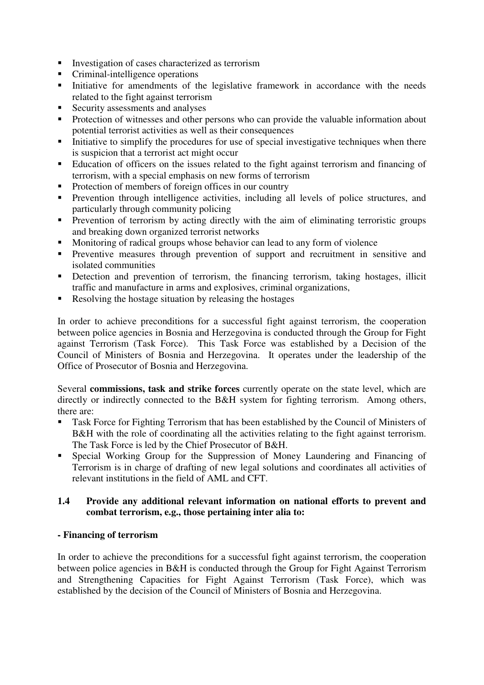- Investigation of cases characterized as terrorism
- Criminal-intelligence operations
- Initiative for amendments of the legislative framework in accordance with the needs related to the fight against terrorism
- Security assessments and analyses
- **Protection of witnesses and other persons who can provide the valuable information about** potential terrorist activities as well as their consequences
- Initiative to simplify the procedures for use of special investigative techniques when there is suspicion that a terrorist act might occur
- Education of officers on the issues related to the fight against terrorism and financing of terrorism, with a special emphasis on new forms of terrorism
- **Protection of members of foreign offices in our country**
- Prevention through intelligence activities, including all levels of police structures, and particularly through community policing
- **Prevention** of terrorism by acting directly with the aim of eliminating terroristic groups and breaking down organized terrorist networks
- Monitoring of radical groups whose behavior can lead to any form of violence
- Preventive measures through prevention of support and recruitment in sensitive and isolated communities
- Detection and prevention of terrorism, the financing terrorism, taking hostages, illicit traffic and manufacture in arms and explosives, criminal organizations,
- Resolving the hostage situation by releasing the hostages

In order to achieve preconditions for a successful fight against terrorism, the cooperation between police agencies in Bosnia and Herzegovina is conducted through the Group for Fight against Terrorism (Task Force). This Task Force was established by a Decision of the Council of Ministers of Bosnia and Herzegovina. It operates under the leadership of the Office of Prosecutor of Bosnia and Herzegovina.

Several **commissions, task and strike forces** currently operate on the state level, which are directly or indirectly connected to the B&H system for fighting terrorism. Among others, there are:

- Task Force for Fighting Terrorism that has been established by the Council of Ministers of B&H with the role of coordinating all the activities relating to the fight against terrorism. The Task Force is led by the Chief Prosecutor of B&H.
- Special Working Group for the Suppression of Money Laundering and Financing of Terrorism is in charge of drafting of new legal solutions and coordinates all activities of relevant institutions in the field of AML and CFT.

## **1.4 Provide any additional relevant information on national efforts to prevent and combat terrorism, e.g., those pertaining inter alia to:**

### **- Financing of terrorism**

In order to achieve the preconditions for a successful fight against terrorism, the cooperation between police agencies in B&H is conducted through the Group for Fight Against Terrorism and Strengthening Capacities for Fight Against Terrorism (Task Force), which was established by the decision of the Council of Ministers of Bosnia and Herzegovina.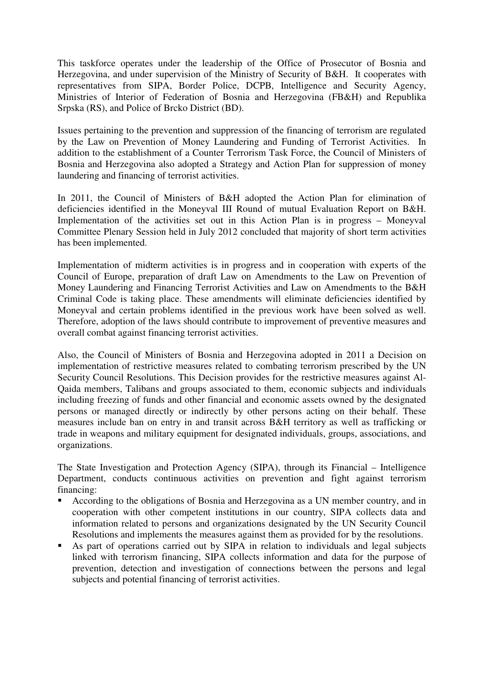This taskforce operates under the leadership of the Office of Prosecutor of Bosnia and Herzegovina, and under supervision of the Ministry of Security of B&H. It cooperates with representatives from SIPA, Border Police, DCPB, Intelligence and Security Agency, Ministries of Interior of Federation of Bosnia and Herzegovina (FB&H) and Republika Srpska (RS), and Police of Brcko District (BD).

Issues pertaining to the prevention and suppression of the financing of terrorism are regulated by the Law on Prevention of Money Laundering and Funding of Terrorist Activities. In addition to the establishment of a Counter Terrorism Task Force, the Council of Ministers of Bosnia and Herzegovina also adopted a Strategy and Action Plan for suppression of money laundering and financing of terrorist activities.

In 2011, the Council of Ministers of B&H adopted the Action Plan for elimination of deficiencies identified in the Moneyval III Round of mutual Evaluation Report on B&H. Implementation of the activities set out in this Action Plan is in progress – Moneyval Committee Plenary Session held in July 2012 concluded that majority of short term activities has been implemented.

Implementation of midterm activities is in progress and in cooperation with experts of the Council of Europe, preparation of draft Law on Amendments to the Law on Prevention of Money Laundering and Financing Terrorist Activities and Law on Amendments to the B&H Criminal Code is taking place. These amendments will eliminate deficiencies identified by Moneyval and certain problems identified in the previous work have been solved as well. Therefore, adoption of the laws should contribute to improvement of preventive measures and overall combat against financing terrorist activities.

Also, the Council of Ministers of Bosnia and Herzegovina adopted in 2011 a Decision on implementation of restrictive measures related to combating terrorism prescribed by the UN Security Council Resolutions. This Decision provides for the restrictive measures against Al-Qaida members, Talibans and groups associated to them, economic subjects and individuals including freezing of funds and other financial and economic assets owned by the designated persons or managed directly or indirectly by other persons acting on their behalf. These measures include ban on entry in and transit across B&H territory as well as trafficking or trade in weapons and military equipment for designated individuals, groups, associations, and organizations.

The State Investigation and Protection Agency (SIPA), through its Financial – Intelligence Department, conducts continuous activities on prevention and fight against terrorism financing:

- According to the obligations of Bosnia and Herzegovina as a UN member country, and in cooperation with other competent institutions in our country, SIPA collects data and information related to persons and organizations designated by the UN Security Council Resolutions and implements the measures against them as provided for by the resolutions.
- As part of operations carried out by SIPA in relation to individuals and legal subjects linked with terrorism financing, SIPA collects information and data for the purpose of prevention, detection and investigation of connections between the persons and legal subjects and potential financing of terrorist activities.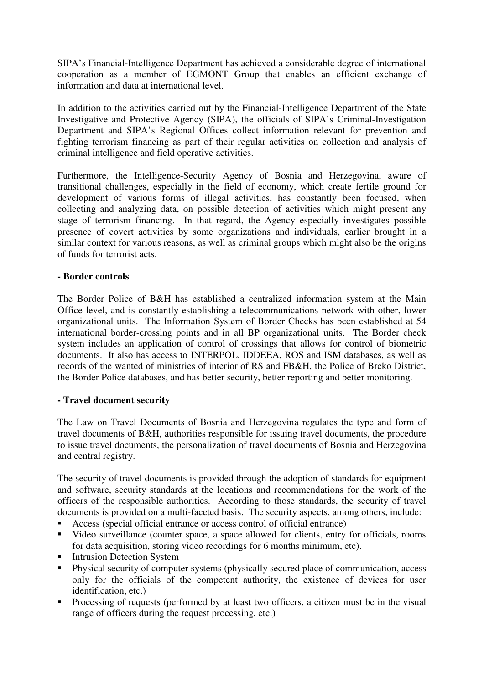SIPA's Financial-Intelligence Department has achieved a considerable degree of international cooperation as a member of EGMONT Group that enables an efficient exchange of information and data at international level.

In addition to the activities carried out by the Financial-Intelligence Department of the State Investigative and Protective Agency (SIPA), the officials of SIPA's Criminal-Investigation Department and SIPA's Regional Offices collect information relevant for prevention and fighting terrorism financing as part of their regular activities on collection and analysis of criminal intelligence and field operative activities.

Furthermore, the Intelligence-Security Agency of Bosnia and Herzegovina, aware of transitional challenges, especially in the field of economy, which create fertile ground for development of various forms of illegal activities, has constantly been focused, when collecting and analyzing data, on possible detection of activities which might present any stage of terrorism financing. In that regard, the Agency especially investigates possible presence of covert activities by some organizations and individuals, earlier brought in a similar context for various reasons, as well as criminal groups which might also be the origins of funds for terrorist acts.

## **- Border controls**

The Border Police of B&H has established a centralized information system at the Main Office level, and is constantly establishing a telecommunications network with other, lower organizational units. The Information System of Border Checks has been established at 54 international border-crossing points and in all BP organizational units. The Border check system includes an application of control of crossings that allows for control of biometric documents. It also has access to INTERPOL, IDDEEA, ROS and ISM databases, as well as records of the wanted of ministries of interior of RS and FB&H, the Police of Brcko District, the Border Police databases, and has better security, better reporting and better monitoring.

### **- Travel document security**

The Law on Travel Documents of Bosnia and Herzegovina regulates the type and form of travel documents of B&H, authorities responsible for issuing travel documents, the procedure to issue travel documents, the personalization of travel documents of Bosnia and Herzegovina and central registry.

The security of travel documents is provided through the adoption of standards for equipment and software, security standards at the locations and recommendations for the work of the officers of the responsible authorities. According to those standards, the security of travel documents is provided on a multi-faceted basis. The security aspects, among others, include:

- Access (special official entrance or access control of official entrance)
- Video surveillance (counter space, a space allowed for clients, entry for officials, rooms for data acquisition, storing video recordings for 6 months minimum, etc).
- **Intrusion Detection System**
- Physical security of computer systems (physically secured place of communication, access only for the officials of the competent authority, the existence of devices for user identification, etc.)
- Processing of requests (performed by at least two officers, a citizen must be in the visual range of officers during the request processing, etc.)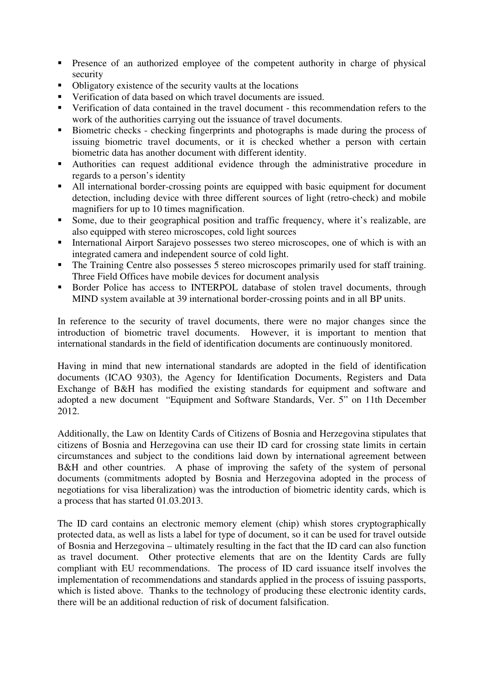- Presence of an authorized employee of the competent authority in charge of physical security
- Obligatory existence of the security vaults at the locations
- Verification of data based on which travel documents are issued.
- Verification of data contained in the travel document this recommendation refers to the work of the authorities carrying out the issuance of travel documents.
- Biometric checks checking fingerprints and photographs is made during the process of issuing biometric travel documents, or it is checked whether a person with certain biometric data has another document with different identity.
- Authorities can request additional evidence through the administrative procedure in regards to a person's identity
- All international border-crossing points are equipped with basic equipment for document detection, including device with three different sources of light (retro-check) and mobile magnifiers for up to 10 times magnification.
- Some, due to their geographical position and traffic frequency, where it's realizable, are also equipped with stereo microscopes, cold light sources
- International Airport Sarajevo possesses two stereo microscopes, one of which is with an integrated camera and independent source of cold light.
- The Training Centre also possesses 5 stereo microscopes primarily used for staff training. Three Field Offices have mobile devices for document analysis
- Border Police has access to INTERPOL database of stolen travel documents, through MIND system available at 39 international border-crossing points and in all BP units.

In reference to the security of travel documents, there were no major changes since the introduction of biometric travel documents. However, it is important to mention that international standards in the field of identification documents are continuously monitored.

Having in mind that new international standards are adopted in the field of identification documents (ICAO 9303), the Agency for Identification Documents, Registers and Data Exchange of B&H has modified the existing standards for equipment and software and adopted a new document "Equipment and Software Standards, Ver. 5" on 11th December 2012.

Additionally, the Law on Identity Cards of Citizens of Bosnia and Herzegovina stipulates that citizens of Bosnia and Herzegovina can use their ID card for crossing state limits in certain circumstances and subject to the conditions laid down by international agreement between B&H and other countries. A phase of improving the safety of the system of personal documents (commitments adopted by Bosnia and Herzegovina adopted in the process of negotiations for visa liberalization) was the introduction of biometric identity cards, which is a process that has started 01.03.2013.

The ID card contains an electronic memory element (chip) whish stores cryptographically protected data, as well as lists a label for type of document, so it can be used for travel outside of Bosnia and Herzegovina – ultimately resulting in the fact that the ID card can also function as travel document. Other protective elements that are on the Identity Cards are fully compliant with EU recommendations. The process of ID card issuance itself involves the implementation of recommendations and standards applied in the process of issuing passports, which is listed above. Thanks to the technology of producing these electronic identity cards, there will be an additional reduction of risk of document falsification.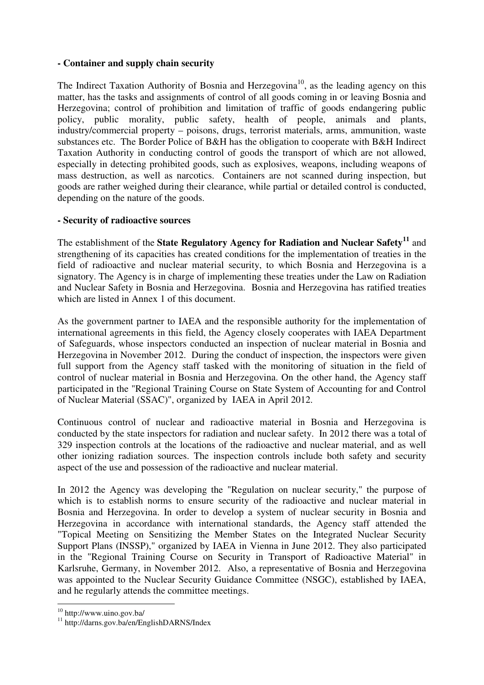# **- Container and supply chain security**

The Indirect Taxation Authority of Bosnia and Herzegovina<sup>10</sup>, as the leading agency on this matter, has the tasks and assignments of control of all goods coming in or leaving Bosnia and Herzegovina; control of prohibition and limitation of traffic of goods endangering public policy, public morality, public safety, health of people, animals and plants, industry/commercial property – poisons, drugs, terrorist materials, arms, ammunition, waste substances etc. The Border Police of B&H has the obligation to cooperate with B&H Indirect Taxation Authority in conducting control of goods the transport of which are not allowed, especially in detecting prohibited goods, such as explosives, weapons, including weapons of mass destruction, as well as narcotics. Containers are not scanned during inspection, but goods are rather weighed during their clearance, while partial or detailed control is conducted, depending on the nature of the goods.

## **- Security of radioactive sources**

The establishment of the **State Regulatory Agency for Radiation and Nuclear Safety<sup>11</sup>** and strengthening of its capacities has created conditions for the implementation of treaties in the field of radioactive and nuclear material security, to which Bosnia and Herzegovina is a signatory. The Agency is in charge of implementing these treaties under the Law on Radiation and Nuclear Safety in Bosnia and Herzegovina. Bosnia and Herzegovina has ratified treaties which are listed in Annex 1 of this document.

As the government partner to IAEA and the responsible authority for the implementation of international agreements in this field, the Agency closely cooperates with IAEA Department of Safeguards, whose inspectors conducted an inspection of nuclear material in Bosnia and Herzegovina in November 2012. During the conduct of inspection, the inspectors were given full support from the Agency staff tasked with the monitoring of situation in the field of control of nuclear material in Bosnia and Herzegovina. On the other hand, the Agency staff participated in the "Regional Training Course on State System of Accounting for and Control of Nuclear Material (SSAC)", organized by IAEA in April 2012.

Continuous control of nuclear and radioactive material in Bosnia and Herzegovina is conducted by the state inspectors for radiation and nuclear safety. In 2012 there was a total of 329 inspection controls at the locations of the radioactive and nuclear material, and as well other ionizing radiation sources. The inspection controls include both safety and security aspect of the use and possession of the radioactive and nuclear material.

In 2012 the Agency was developing the "Regulation on nuclear security," the purpose of which is to establish norms to ensure security of the radioactive and nuclear material in Bosnia and Herzegovina. In order to develop a system of nuclear security in Bosnia and Herzegovina in accordance with international standards, the Agency staff attended the "Topical Meeting on Sensitizing the Member States on the Integrated Nuclear Security Support Plans (INSSP)," organized by IAEA in Vienna in June 2012. They also participated in the "Regional Training Course on Security in Transport of Radioactive Material" in Karlsruhe, Germany, in November 2012. Also, a representative of Bosnia and Herzegovina was appointed to the Nuclear Security Guidance Committee (NSGC), established by IAEA, and he regularly attends the committee meetings.

<sup>&</sup>lt;u>.</u> 10 http://www.uino.gov.ba/

<sup>11</sup> http://darns.gov.ba/en/EnglishDARNS/Index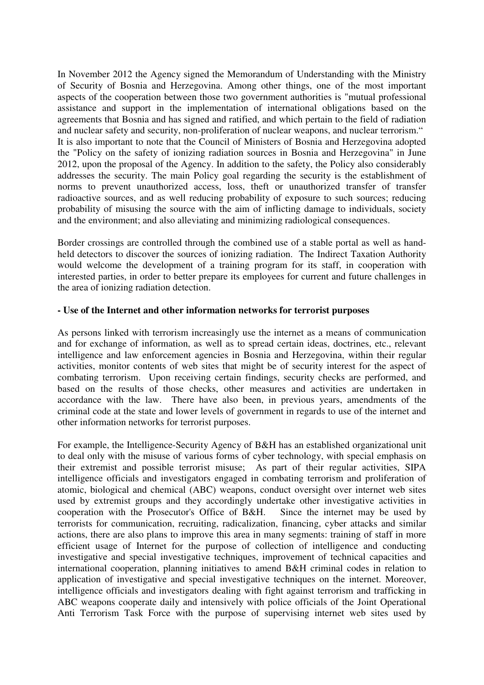In November 2012 the Agency signed the Memorandum of Understanding with the Ministry of Security of Bosnia and Herzegovina. Among other things, one of the most important aspects of the cooperation between those two government authorities is "mutual professional assistance and support in the implementation of international obligations based on the agreements that Bosnia and has signed and ratified, and which pertain to the field of radiation and nuclear safety and security, non-proliferation of nuclear weapons, and nuclear terrorism." It is also important to note that the Council of Ministers of Bosnia and Herzegovina adopted the "Policy on the safety of ionizing radiation sources in Bosnia and Herzegovina" in June 2012, upon the proposal of the Agency. In addition to the safety, the Policy also considerably addresses the security. The main Policy goal regarding the security is the establishment of norms to prevent unauthorized access, loss, theft or unauthorized transfer of transfer radioactive sources, and as well reducing probability of exposure to such sources; reducing probability of misusing the source with the aim of inflicting damage to individuals, society and the environment; and also alleviating and minimizing radiological consequences.

Border crossings are controlled through the combined use of a stable portal as well as handheld detectors to discover the sources of ionizing radiation. The Indirect Taxation Authority would welcome the development of a training program for its staff, in cooperation with interested parties, in order to better prepare its employees for current and future challenges in the area of ionizing radiation detection.

### **- Use of the Internet and other information networks for terrorist purposes**

As persons linked with terrorism increasingly use the internet as a means of communication and for exchange of information, as well as to spread certain ideas, doctrines, etc., relevant intelligence and law enforcement agencies in Bosnia and Herzegovina, within their regular activities, monitor contents of web sites that might be of security interest for the aspect of combating terrorism. Upon receiving certain findings, security checks are performed, and based on the results of those checks, other measures and activities are undertaken in accordance with the law. There have also been, in previous years, amendments of the criminal code at the state and lower levels of government in regards to use of the internet and other information networks for terrorist purposes.

For example, the Intelligence-Security Agency of B&H has an established organizational unit to deal only with the misuse of various forms of cyber technology, with special emphasis on their extremist and possible terrorist misuse; As part of their regular activities, SIPA intelligence officials and investigators engaged in combating terrorism and proliferation of atomic, biological and chemical (ABC) weapons, conduct oversight over internet web sites used by extremist groups and they accordingly undertake other investigative activities in cooperation with the Prosecutor's Office of B&H. Since the internet may be used by terrorists for communication, recruiting, radicalization, financing, cyber attacks and similar actions, there are also plans to improve this area in many segments: training of staff in more efficient usage of Internet for the purpose of collection of intelligence and conducting investigative and special investigative techniques, improvement of technical capacities and international cooperation, planning initiatives to amend B&H criminal codes in relation to application of investigative and special investigative techniques on the internet. Moreover, intelligence officials and investigators dealing with fight against terrorism and trafficking in ABC weapons cooperate daily and intensively with police officials of the Joint Operational Anti Terrorism Task Force with the purpose of supervising internet web sites used by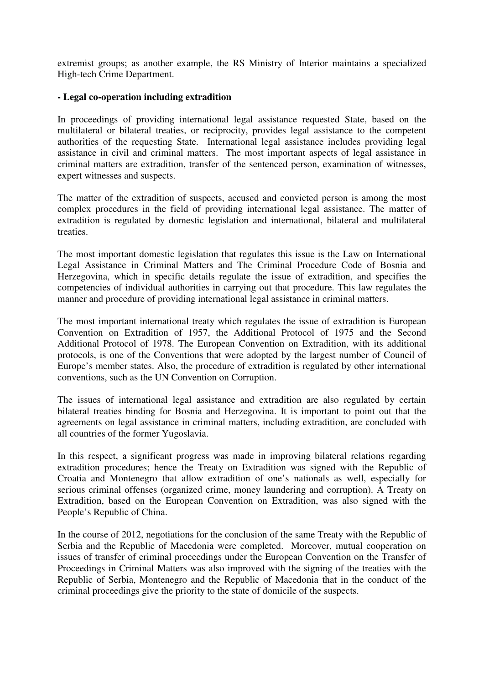extremist groups; as another example, the RS Ministry of Interior maintains a specialized High-tech Crime Department.

### **- Legal co-operation including extradition**

In proceedings of providing international legal assistance requested State, based on the multilateral or bilateral treaties, or reciprocity, provides legal assistance to the competent authorities of the requesting State. International legal assistance includes providing legal assistance in civil and criminal matters. The most important aspects of legal assistance in criminal matters are extradition, transfer of the sentenced person, examination of witnesses, expert witnesses and suspects.

The matter of the extradition of suspects, accused and convicted person is among the most complex procedures in the field of providing international legal assistance. The matter of extradition is regulated by domestic legislation and international, bilateral and multilateral treaties.

The most important domestic legislation that regulates this issue is the Law on International Legal Assistance in Criminal Matters and The Criminal Procedure Code of Bosnia and Herzegovina, which in specific details regulate the issue of extradition, and specifies the competencies of individual authorities in carrying out that procedure. This law regulates the manner and procedure of providing international legal assistance in criminal matters.

The most important international treaty which regulates the issue of extradition is European Convention on Extradition of 1957, the Additional Protocol of 1975 and the Second Additional Protocol of 1978. The European Convention on Extradition, with its additional protocols, is one of the Conventions that were adopted by the largest number of Council of Europe's member states. Also, the procedure of extradition is regulated by other international conventions, such as the UN Convention on Corruption.

The issues of international legal assistance and extradition are also regulated by certain bilateral treaties binding for Bosnia and Herzegovina. It is important to point out that the agreements on legal assistance in criminal matters, including extradition, are concluded with all countries of the former Yugoslavia.

In this respect, a significant progress was made in improving bilateral relations regarding extradition procedures; hence the Treaty on Extradition was signed with the Republic of Croatia and Montenegro that allow extradition of one's nationals as well, especially for serious criminal offenses (organized crime, money laundering and corruption). A Treaty on Extradition, based on the European Convention on Extradition, was also signed with the People's Republic of China.

In the course of 2012, negotiations for the conclusion of the same Treaty with the Republic of Serbia and the Republic of Macedonia were completed. Moreover, mutual cooperation on issues of transfer of criminal proceedings under the European Convention on the Transfer of Proceedings in Criminal Matters was also improved with the signing of the treaties with the Republic of Serbia, Montenegro and the Republic of Macedonia that in the conduct of the criminal proceedings give the priority to the state of domicile of the suspects.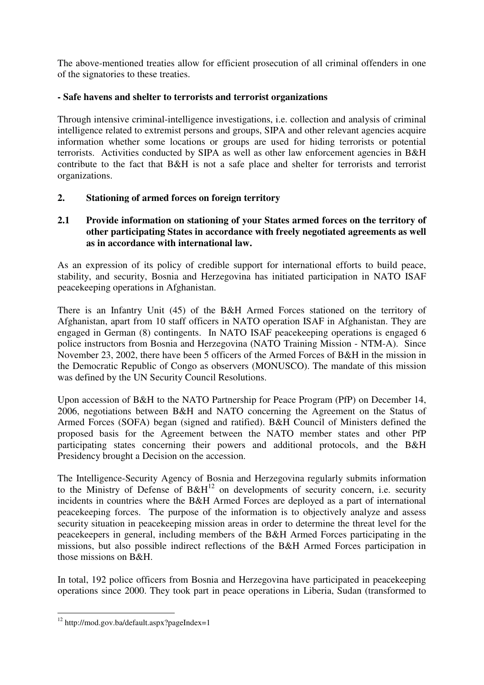The above-mentioned treaties allow for efficient prosecution of all criminal offenders in one of the signatories to these treaties.

# **- Safe havens and shelter to terrorists and terrorist organizations**

Through intensive criminal-intelligence investigations, i.e. collection and analysis of criminal intelligence related to extremist persons and groups, SIPA and other relevant agencies acquire information whether some locations or groups are used for hiding terrorists or potential terrorists. Activities conducted by SIPA as well as other law enforcement agencies in B&H contribute to the fact that B&H is not a safe place and shelter for terrorists and terrorist organizations.

# **2. Stationing of armed forces on foreign territory**

# **2.1 Provide information on stationing of your States armed forces on the territory of other participating States in accordance with freely negotiated agreements as well as in accordance with international law.**

As an expression of its policy of credible support for international efforts to build peace, stability, and security, Bosnia and Herzegovina has initiated participation in NATO ISAF peacekeeping operations in Afghanistan.

There is an Infantry Unit (45) of the B&H Armed Forces stationed on the territory of Afghanistan, apart from 10 staff officers in NATO operation ISAF in Afghanistan. They are engaged in German (8) contingents. In NATO ISAF peacekeeping operations is engaged 6 police instructors from Bosnia and Herzegovina (NATO Training Mission - NTM-A). Since November 23, 2002, there have been 5 officers of the Armed Forces of B&H in the mission in the Democratic Republic of Congo as observers (MONUSCO). The mandate of this mission was defined by the UN Security Council Resolutions.

Upon accession of B&H to the NATO Partnership for Peace Program (PfP) on December 14, 2006, negotiations between B&H and NATO concerning the Agreement on the Status of Armed Forces (SOFA) began (signed and ratified). B&H Council of Ministers defined the proposed basis for the Agreement between the NATO member states and other PfP participating states concerning their powers and additional protocols, and the B&H Presidency brought a Decision on the accession.

The Intelligence-Security Agency of Bosnia and Herzegovina regularly submits information to the Ministry of Defense of  $B\&H^{12}$  on developments of security concern, i.e. security incidents in countries where the B&H Armed Forces are deployed as a part of international peacekeeping forces. The purpose of the information is to objectively analyze and assess security situation in peacekeeping mission areas in order to determine the threat level for the peacekeepers in general, including members of the B&H Armed Forces participating in the missions, but also possible indirect reflections of the B&H Armed Forces participation in those missions on B&H.

In total, 192 police officers from Bosnia and Herzegovina have participated in peacekeeping operations since 2000. They took part in peace operations in Liberia, Sudan (transformed to

-

<sup>12</sup> http://mod.gov.ba/default.aspx?pageIndex=1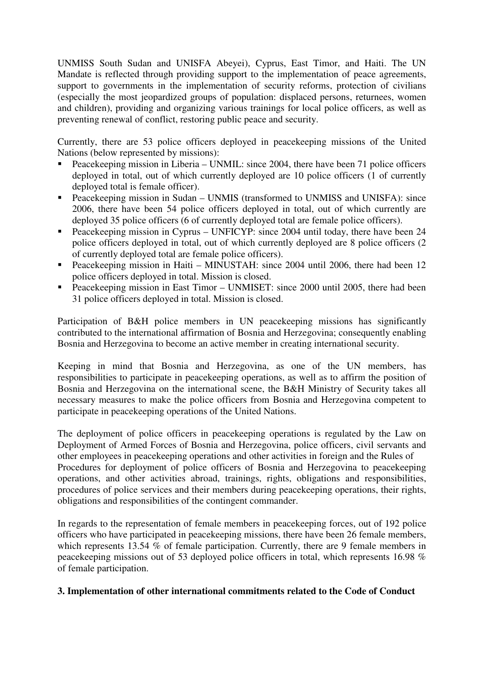UNMISS South Sudan and UNISFA Abeyei), Cyprus, East Timor, and Haiti. The UN Mandate is reflected through providing support to the implementation of peace agreements, support to governments in the implementation of security reforms, protection of civilians (especially the most jeopardized groups of population: displaced persons, returnees, women and children), providing and organizing various trainings for local police officers, as well as preventing renewal of conflict, restoring public peace and security.

Currently, there are 53 police officers deployed in peacekeeping missions of the United Nations (below represented by missions):

- Peacekeeping mission in Liberia UNMIL: since 2004, there have been 71 police officers deployed in total, out of which currently deployed are 10 police officers (1 of currently deployed total is female officer).
- Peacekeeping mission in Sudan UNMIS (transformed to UNMISS and UNISFA): since 2006, there have been 54 police officers deployed in total, out of which currently are deployed 35 police officers (6 of currently deployed total are female police officers).
- Peacekeeping mission in Cyprus UNFICYP: since 2004 until today, there have been 24 police officers deployed in total, out of which currently deployed are 8 police officers (2 of currently deployed total are female police officers).
- Peacekeeping mission in Haiti MINUSTAH: since 2004 until 2006, there had been 12 police officers deployed in total. Mission is closed.
- Peacekeeping mission in East Timor UNMISET: since 2000 until 2005, there had been 31 police officers deployed in total. Mission is closed.

Participation of B&H police members in UN peacekeeping missions has significantly contributed to the international affirmation of Bosnia and Herzegovina; consequently enabling Bosnia and Herzegovina to become an active member in creating international security.

Keeping in mind that Bosnia and Herzegovina, as one of the UN members, has responsibilities to participate in peacekeeping operations, as well as to affirm the position of Bosnia and Herzegovina on the international scene, the B&H Ministry of Security takes all necessary measures to make the police officers from Bosnia and Herzegovina competent to participate in peacekeeping operations of the United Nations.

The deployment of police officers in peacekeeping operations is regulated by the Law on Deployment of Armed Forces of Bosnia and Herzegovina, police officers, civil servants and other employees in peacekeeping operations and other activities in foreign and the Rules of Procedures for deployment of police officers of Bosnia and Herzegovina to peacekeeping operations, and other activities abroad, trainings, rights, obligations and responsibilities, procedures of police services and their members during peacekeeping operations, their rights, obligations and responsibilities of the contingent commander.

In regards to the representation of female members in peacekeeping forces, out of 192 police officers who have participated in peacekeeping missions, there have been 26 female members, which represents 13.54 % of female participation. Currently, there are 9 female members in peacekeeping missions out of 53 deployed police officers in total, which represents 16.98 % of female participation.

# **3. Implementation of other international commitments related to the Code of Conduct**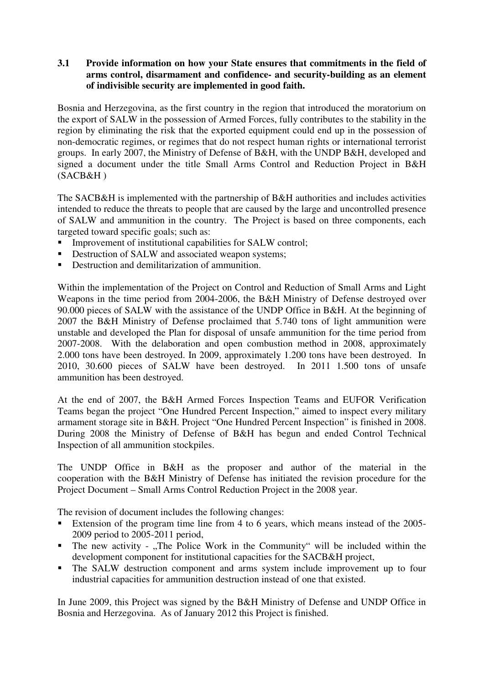# **3.1 Provide information on how your State ensures that commitments in the field of arms control, disarmament and confidence- and security-building as an element of indivisible security are implemented in good faith.**

Bosnia and Herzegovina, as the first country in the region that introduced the moratorium on the export of SALW in the possession of Armed Forces, fully contributes to the stability in the region by eliminating the risk that the exported equipment could end up in the possession of non-democratic regimes, or regimes that do not respect human rights or international terrorist groups. In early 2007, the Ministry of Defense of B&H, with the UNDP B&H, developed and signed a document under the title Small Arms Control and Reduction Project in B&H  $(SACB&H)$ 

The SACB&H is implemented with the partnership of B&H authorities and includes activities intended to reduce the threats to people that are caused by the large and uncontrolled presence of SALW and ammunition in the country. The Project is based on three components, each targeted toward specific goals; such as:

- Improvement of institutional capabilities for SALW control;
- Destruction of SALW and associated weapon systems;
- Destruction and demilitarization of ammunition.

Within the implementation of the Project on Control and Reduction of Small Arms and Light Weapons in the time period from 2004-2006, the B&H Ministry of Defense destroyed over 90.000 pieces of SALW with the assistance of the UNDP Office in B&H. At the beginning of 2007 the B&H Ministry of Defense proclaimed that 5.740 tons of light ammunition were unstable and developed the Plan for disposal of unsafe ammunition for the time period from 2007-2008. With the delaboration and open combustion method in 2008, approximately 2.000 tons have been destroyed. In 2009, approximately 1.200 tons have been destroyed. In 2010, 30.600 pieces of SALW have been destroyed. In 2011 1.500 tons of unsafe ammunition has been destroyed.

At the end of 2007, the B&H Armed Forces Inspection Teams and EUFOR Verification Teams began the project "One Hundred Percent Inspection," aimed to inspect every military armament storage site in B&H. Project "One Hundred Percent Inspection" is finished in 2008. During 2008 the Ministry of Defense of B&H has begun and ended Control Technical Inspection of all ammunition stockpiles.

The UNDP Office in B&H as the proposer and author of the material in the cooperation with the B&H Ministry of Defense has initiated the revision procedure for the Project Document – Small Arms Control Reduction Project in the 2008 year.

The revision of document includes the following changes:

- Extension of the program time line from 4 to 6 years, which means instead of the 2005-2009 period to 2005-2011 period,
- The new activity "The Police Work in the Community" will be included within the development component for institutional capacities for the SACB&H project,
- The SALW destruction component and arms system include improvement up to four industrial capacities for ammunition destruction instead of one that existed.

In June 2009, this Project was signed by the B&H Ministry of Defense and UNDP Office in Bosnia and Herzegovina. As of January 2012 this Project is finished.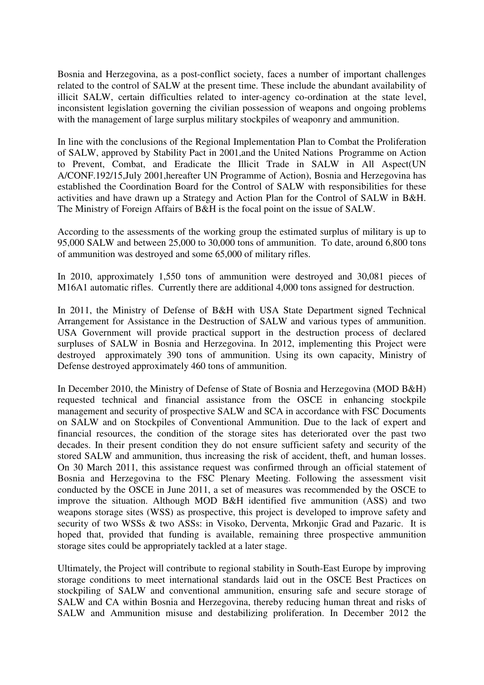Bosnia and Herzegovina, as a post-conflict society, faces a number of important challenges related to the control of SALW at the present time. These include the abundant availability of illicit SALW, certain difficulties related to inter-agency co-ordination at the state level, inconsistent legislation governing the civilian possession of weapons and ongoing problems with the management of large surplus military stockpiles of weaponry and ammunition.

In line with the conclusions of the Regional Implementation Plan to Combat the Proliferation of SALW, approved by Stability Pact in 2001,and the United Nations Programme on Action to Prevent, Combat, and Eradicate the Illicit Trade in SALW in All Aspect(UN A/CONF.192/15,July 2001,hereafter UN Programme of Action), Bosnia and Herzegovina has established the Coordination Board for the Control of SALW with responsibilities for these activities and have drawn up a Strategy and Action Plan for the Control of SALW in B&H. The Ministry of Foreign Affairs of B&H is the focal point on the issue of SALW.

According to the assessments of the working group the estimated surplus of military is up to 95,000 SALW and between 25,000 to 30,000 tons of ammunition. To date, around 6,800 tons of ammunition was destroyed and some 65,000 of military rifles.

In 2010, approximately 1,550 tons of ammunition were destroyed and 30,081 pieces of M16A1 automatic rifles. Currently there are additional 4,000 tons assigned for destruction.

In 2011, the Ministry of Defense of B&H with USA State Department signed Technical Arrangement for Assistance in the Destruction of SALW and various types of ammunition. USA Government will provide practical support in the destruction process of declared surpluses of SALW in Bosnia and Herzegovina. In 2012, implementing this Project were destroyed approximately 390 tons of ammunition. Using its own capacity, Ministry of Defense destroyed approximately 460 tons of ammunition.

In December 2010, the Ministry of Defense of State of Bosnia and Herzegovina (MOD B&H) requested technical and financial assistance from the OSCE in enhancing stockpile management and security of prospective SALW and SCA in accordance with FSC Documents on SALW and on Stockpiles of Conventional Ammunition. Due to the lack of expert and financial resources, the condition of the storage sites has deteriorated over the past two decades. In their present condition they do not ensure sufficient safety and security of the stored SALW and ammunition, thus increasing the risk of accident, theft, and human losses. On 30 March 2011, this assistance request was confirmed through an official statement of Bosnia and Herzegovina to the FSC Plenary Meeting. Following the assessment visit conducted by the OSCE in June 2011, a set of measures was recommended by the OSCE to improve the situation. Although MOD B&H identified five ammunition (ASS) and two weapons storage sites (WSS) as prospective, this project is developed to improve safety and security of two WSSs & two ASSs: in Visoko, Derventa, Mrkonjic Grad and Pazaric. It is hoped that, provided that funding is available, remaining three prospective ammunition storage sites could be appropriately tackled at a later stage.

Ultimately, the Project will contribute to regional stability in South-East Europe by improving storage conditions to meet international standards laid out in the OSCE Best Practices on stockpiling of SALW and conventional ammunition, ensuring safe and secure storage of SALW and CA within Bosnia and Herzegovina, thereby reducing human threat and risks of SALW and Ammunition misuse and destabilizing proliferation. In December 2012 the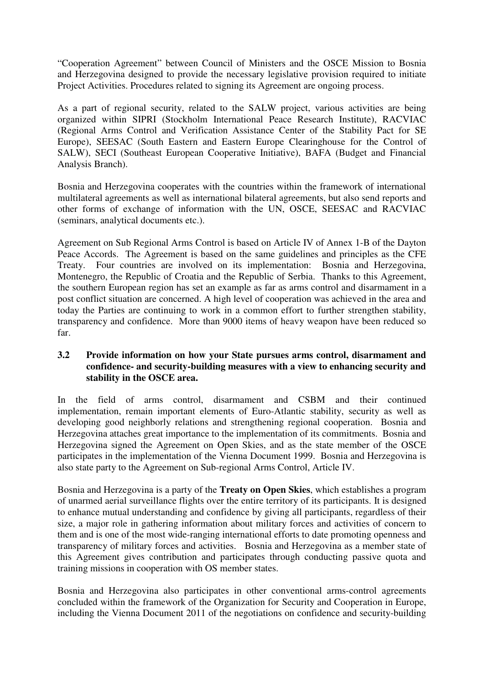"Cooperation Agreement" between Council of Ministers and the OSCE Mission to Bosnia and Herzegovina designed to provide the necessary legislative provision required to initiate Project Activities. Procedures related to signing its Agreement are ongoing process.

As a part of regional security, related to the SALW project, various activities are being organized within SIPRI (Stockholm International Peace Research Institute), RACVIAC (Regional Arms Control and Verification Assistance Center of the Stability Pact for SE Europe), SEESAC (South Eastern and Eastern Europe Clearinghouse for the Control of SALW), SECI (Southeast European Cooperative Initiative), BAFA (Budget and Financial Analysis Branch).

Bosnia and Herzegovina cooperates with the countries within the framework of international multilateral agreements as well as international bilateral agreements, but also send reports and other forms of exchange of information with the UN, OSCE, SEESAC and RACVIAC (seminars, analytical documents etc.).

Agreement on Sub Regional Arms Control is based on Article IV of Annex 1-B of the Dayton Peace Accords. The Agreement is based on the same guidelines and principles as the CFE Treaty. Four countries are involved on its implementation: Bosnia and Herzegovina, Montenegro, the Republic of Croatia and the Republic of Serbia. Thanks to this Agreement, the southern European region has set an example as far as arms control and disarmament in a post conflict situation are concerned. A high level of cooperation was achieved in the area and today the Parties are continuing to work in a common effort to further strengthen stability, transparency and confidence. More than 9000 items of heavy weapon have been reduced so far.

## **3.2 Provide information on how your State pursues arms control, disarmament and confidence- and security-building measures with a view to enhancing security and stability in the OSCE area.**

In the field of arms control, disarmament and CSBM and their continued implementation, remain important elements of Euro-Atlantic stability, security as well as developing good neighborly relations and strengthening regional cooperation. Bosnia and Herzegovina attaches great importance to the implementation of its commitments. Bosnia and Herzegovina signed the Agreement on Open Skies, and as the state member of the OSCE participates in the implementation of the Vienna Document 1999. Bosnia and Herzegovina is also state party to the Agreement on Sub-regional Arms Control, Article IV.

Bosnia and Herzegovina is a party of the **Treaty on Open Skies**, which establishes a program of unarmed aerial surveillance flights over the entire territory of its participants. It is designed to enhance mutual understanding and confidence by giving all participants, regardless of their size, a major role in gathering information about military forces and activities of concern to them and is one of the most wide-ranging international efforts to date promoting openness and transparency of military forces and activities. Bosnia and Herzegovina as a member state of this Agreement gives contribution and participates through conducting passive quota and training missions in cooperation with OS member states.

Bosnia and Herzegovina also participates in other conventional arms-control agreements concluded within the framework of the Organization for Security and Cooperation in Europe, including the Vienna Document 2011 of the negotiations on confidence and security-building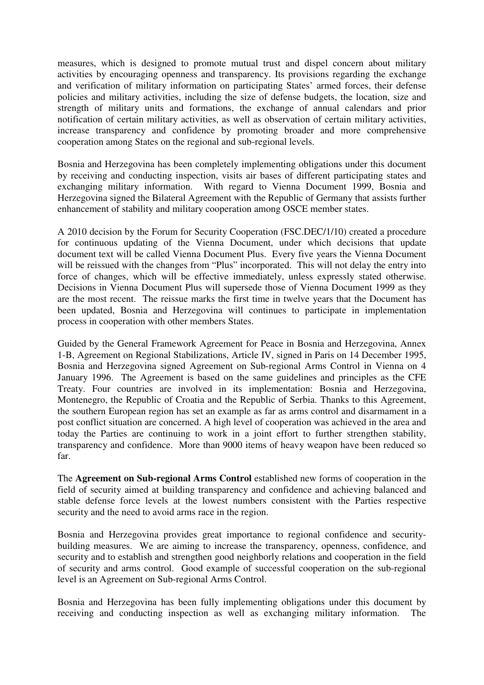measures, which is designed to promote mutual trust and dispel concern about military activities by encouraging openness and transparency. Its provisions regarding the exchange and verification of military information on participating States' armed forces, their defense policies and military activities, including the size of defense budgets, the location, size and strength of military units and formations, the exchange of annual calendars and prior notification of certain military activities, as well as observation of certain military activities, increase transparency and confidence by promoting broader and more comprehensive cooperation among States on the regional and sub-regional levels.

Bosnia and Herzegovina has been completely implementing obligations under this document by receiving and conducting inspection, visits air bases of different participating states and exchanging military information. With regard to Vienna Document 1999, Bosnia and Herzegovina signed the Bilateral Agreement with the Republic of Germany that assists further enhancement of stability and military cooperation among OSCE member states.

A 2010 decision by the Forum for Security Cooperation (FSC.DEC/1/10) created a procedure for continuous updating of the Vienna Document, under which decisions that update document text will be called Vienna Document Plus. Every five years the Vienna Document will be reissued with the changes from "Plus" incorporated. This will not delay the entry into force of changes, which will be effective immediately, unless expressly stated otherwise. Decisions in Vienna Document Plus will supersede those of Vienna Document 1999 as they are the most recent. The reissue marks the first time in twelve years that the Document has been updated, Bosnia and Herzegovina will continues to participate in implementation process in cooperation with other members States.

Guided by the General Framework Agreement for Peace in Bosnia and Herzegovina, Annex 1-B, Agreement on Regional Stabilizations, Article IV, signed in Paris on 14 December 1995, Bosnia and Herzegovina signed Agreement on Sub-regional Arms Control in Vienna on 4 January 1996. The Agreement is based on the same guidelines and principles as the CFE Treaty. Four countries are involved in its implementation: Bosnia and Herzegovina, Montenegro, the Republic of Croatia and the Republic of Serbia. Thanks to this Agreement, the southern European region has set an example as far as arms control and disarmament in a post conflict situation are concerned. A high level of cooperation was achieved in the area and today the Parties are continuing to work in a joint effort to further strengthen stability, transparency and confidence. More than 9000 items of heavy weapon have been reduced so far.

The **Agreement on Sub-regional Arms Control** established new forms of cooperation in the field of security aimed at building transparency and confidence and achieving balanced and stable defense force levels at the lowest numbers consistent with the Parties respective security and the need to avoid arms race in the region.

Bosnia and Herzegovina provides great importance to regional confidence and securitybuilding measures. We are aiming to increase the transparency, openness, confidence, and security and to establish and strengthen good neighborly relations and cooperation in the field of security and arms control. Good example of successful cooperation on the sub-regional level is an Agreement on Sub-regional Arms Control.

Bosnia and Herzegovina has been fully implementing obligations under this document by receiving and conducting inspection as well as exchanging military information. The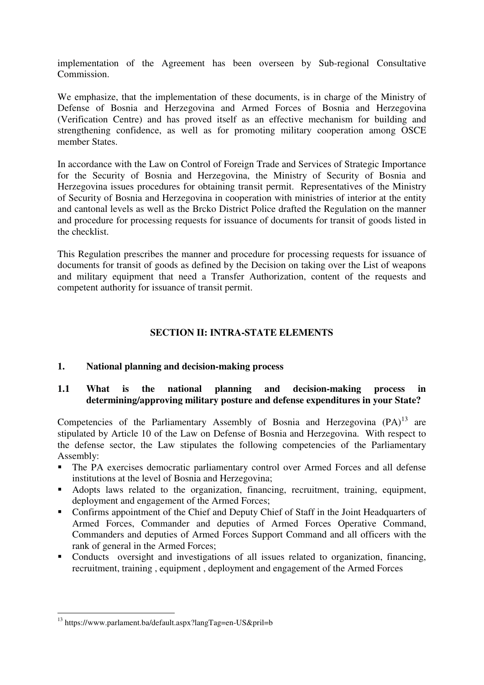implementation of the Agreement has been overseen by Sub-regional Consultative Commission.

We emphasize, that the implementation of these documents, is in charge of the Ministry of Defense of Bosnia and Herzegovina and Armed Forces of Bosnia and Herzegovina (Verification Centre) and has proved itself as an effective mechanism for building and strengthening confidence, as well as for promoting military cooperation among OSCE member States.

In accordance with the Law on Control of Foreign Trade and Services of Strategic Importance for the Security of Bosnia and Herzegovina, the Ministry of Security of Bosnia and Herzegovina issues procedures for obtaining transit permit. Representatives of the Ministry of Security of Bosnia and Herzegovina in cooperation with ministries of interior at the entity and cantonal levels as well as the Brcko District Police drafted the Regulation on the manner and procedure for processing requests for issuance of documents for transit of goods listed in the checklist.

This Regulation prescribes the manner and procedure for processing requests for issuance of documents for transit of goods as defined by the Decision on taking over the List of weapons and military equipment that need a Transfer Authorization, content of the requests and competent authority for issuance of transit permit.

# **SECTION II: INTRA-STATE ELEMENTS**

# **1. National planning and decision-making process**

## **1.1 What is the national planning and decision-making process in determining/approving military posture and defense expenditures in your State?**

Competencies of the Parliamentary Assembly of Bosnia and Herzegovina  $(PA)^{13}$  are stipulated by Article 10 of the Law on Defense of Bosnia and Herzegovina. With respect to the defense sector, the Law stipulates the following competencies of the Parliamentary Assembly:

- The PA exercises democratic parliamentary control over Armed Forces and all defense institutions at the level of Bosnia and Herzegovina;
- Adopts laws related to the organization, financing, recruitment, training, equipment, deployment and engagement of the Armed Forces;
- Confirms appointment of the Chief and Deputy Chief of Staff in the Joint Headquarters of Armed Forces, Commander and deputies of Armed Forces Operative Command, Commanders and deputies of Armed Forces Support Command and all officers with the rank of general in the Armed Forces;
- Conducts oversight and investigations of all issues related to organization, financing, recruitment, training , equipment , deployment and engagement of the Armed Forces

-

<sup>&</sup>lt;sup>13</sup> https://www.parlament.ba/default.aspx?langTag=en-US&pril=b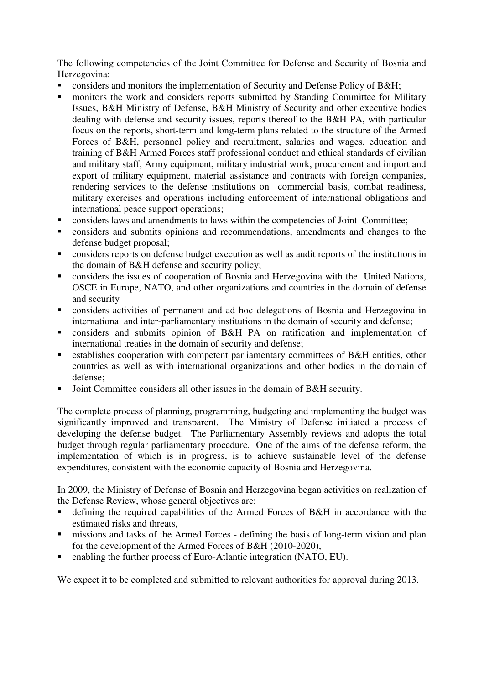The following competencies of the Joint Committee for Defense and Security of Bosnia and Herzegovina:

- considers and monitors the implementation of Security and Defense Policy of B&H;
- **n** monitors the work and considers reports submitted by Standing Committee for Military Issues, B&H Ministry of Defense, B&H Ministry of Security and other executive bodies dealing with defense and security issues, reports thereof to the B&H PA, with particular focus on the reports, short-term and long-term plans related to the structure of the Armed Forces of B&H, personnel policy and recruitment, salaries and wages, education and training of B&H Armed Forces staff professional conduct and ethical standards of civilian and military staff, Army equipment, military industrial work, procurement and import and export of military equipment, material assistance and contracts with foreign companies, rendering services to the defense institutions on commercial basis, combat readiness, military exercises and operations including enforcement of international obligations and international peace support operations;
- considers laws and amendments to laws within the competencies of Joint Committee;
- considers and submits opinions and recommendations, amendments and changes to the defense budget proposal;
- considers reports on defense budget execution as well as audit reports of the institutions in the domain of B&H defense and security policy;
- considers the issues of cooperation of Bosnia and Herzegovina with the United Nations, OSCE in Europe, NATO, and other organizations and countries in the domain of defense and security
- considers activities of permanent and ad hoc delegations of Bosnia and Herzegovina in international and inter-parliamentary institutions in the domain of security and defense;
- considers and submits opinion of B&H PA on ratification and implementation of international treaties in the domain of security and defense;
- establishes cooperation with competent parliamentary committees of B&H entities, other countries as well as with international organizations and other bodies in the domain of defense;
- Joint Committee considers all other issues in the domain of B&H security.

The complete process of planning, programming, budgeting and implementing the budget was significantly improved and transparent. The Ministry of Defense initiated a process of developing the defense budget. The Parliamentary Assembly reviews and adopts the total budget through regular parliamentary procedure. One of the aims of the defense reform, the implementation of which is in progress, is to achieve sustainable level of the defense expenditures, consistent with the economic capacity of Bosnia and Herzegovina.

In 2009, the Ministry of Defense of Bosnia and Herzegovina began activities on realization of the Defense Review, whose general objectives are:

- defining the required capabilities of the Armed Forces of B&H in accordance with the estimated risks and threats
- missions and tasks of the Armed Forces defining the basis of long-term vision and plan for the development of the Armed Forces of B&H (2010-2020),
- enabling the further process of Euro-Atlantic integration (NATO, EU).

We expect it to be completed and submitted to relevant authorities for approval during 2013.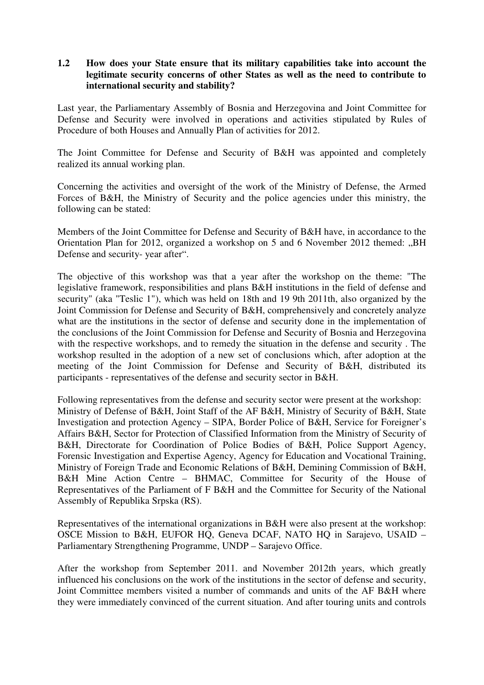# **1.2 How does your State ensure that its military capabilities take into account the legitimate security concerns of other States as well as the need to contribute to international security and stability?**

Last year, the Parliamentary Assembly of Bosnia and Herzegovina and Joint Committee for Defense and Security were involved in operations and activities stipulated by Rules of Procedure of both Houses and Annually Plan of activities for 2012.

The Joint Committee for Defense and Security of B&H was appointed and completely realized its annual working plan.

Concerning the activities and oversight of the work of the Ministry of Defense, the Armed Forces of B&H, the Ministry of Security and the police agencies under this ministry, the following can be stated:

Members of the Joint Committee for Defense and Security of B&H have, in accordance to the Orientation Plan for 2012, organized a workshop on 5 and 6 November 2012 themed: "BH Defense and security- year after".

The objective of this workshop was that a year after the workshop on the theme: "The legislative framework, responsibilities and plans B&H institutions in the field of defense and security" (aka "Teslic 1"), which was held on 18th and 19 9th 2011th, also organized by the Joint Commission for Defense and Security of B&H, comprehensively and concretely analyze what are the institutions in the sector of defense and security done in the implementation of the conclusions of the Joint Commission for Defense and Security of Bosnia and Herzegovina with the respective workshops, and to remedy the situation in the defense and security . The workshop resulted in the adoption of a new set of conclusions which, after adoption at the meeting of the Joint Commission for Defense and Security of B&H, distributed its participants - representatives of the defense and security sector in B&H.

Following representatives from the defense and security sector were present at the workshop: Ministry of Defense of B&H, Joint Staff of the AF B&H, Ministry of Security of B&H, State Investigation and protection Agency – SIPA, Border Police of B&H, Service for Foreigner's Affairs B&H, Sector for Protection of Classified Information from the Ministry of Security of B&H, Directorate for Coordination of Police Bodies of B&H, Police Support Agency, Forensic Investigation and Expertise Agency, Agency for Education and Vocational Training, Ministry of Foreign Trade and Economic Relations of B&H, Demining Commission of B&H, B&H Mine Action Centre – BHMAC, Committee for Security of the House of Representatives of the Parliament of F B&H and the Committee for Security of the National Assembly of Republika Srpska (RS).

Representatives of the international organizations in B&H were also present at the workshop: OSCE Mission to B&H, EUFOR HQ, Geneva DCAF, NATO HQ in Sarajevo, USAID – Parliamentary Strengthening Programme, UNDP – Sarajevo Office.

After the workshop from September 2011. and November 2012th years, which greatly influenced his conclusions on the work of the institutions in the sector of defense and security, Joint Committee members visited a number of commands and units of the AF B&H where they were immediately convinced of the current situation. And after touring units and controls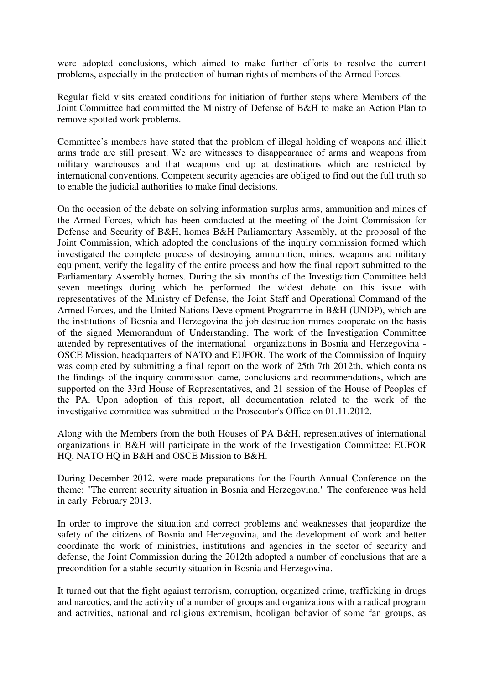were adopted conclusions, which aimed to make further efforts to resolve the current problems, especially in the protection of human rights of members of the Armed Forces.

Regular field visits created conditions for initiation of further steps where Members of the Joint Committee had committed the Ministry of Defense of B&H to make an Action Plan to remove spotted work problems.

Committee's members have stated that the problem of illegal holding of weapons and illicit arms trade are still present. We are witnesses to disappearance of arms and weapons from military warehouses and that weapons end up at destinations which are restricted by international conventions. Competent security agencies are obliged to find out the full truth so to enable the judicial authorities to make final decisions.

On the occasion of the debate on solving information surplus arms, ammunition and mines of the Armed Forces, which has been conducted at the meeting of the Joint Commission for Defense and Security of B&H, homes B&H Parliamentary Assembly, at the proposal of the Joint Commission, which adopted the conclusions of the inquiry commission formed which investigated the complete process of destroying ammunition, mines, weapons and military equipment, verify the legality of the entire process and how the final report submitted to the Parliamentary Assembly homes. During the six months of the Investigation Committee held seven meetings during which he performed the widest debate on this issue with representatives of the Ministry of Defense, the Joint Staff and Operational Command of the Armed Forces, and the United Nations Development Programme in B&H (UNDP), which are the institutions of Bosnia and Herzegovina the job destruction mimes cooperate on the basis of the signed Memorandum of Understanding. The work of the Investigation Committee attended by representatives of the international organizations in Bosnia and Herzegovina - OSCE Mission, headquarters of NATO and EUFOR. The work of the Commission of Inquiry was completed by submitting a final report on the work of 25th 7th 2012th, which contains the findings of the inquiry commission came, conclusions and recommendations, which are supported on the 33rd House of Representatives, and 21 session of the House of Peoples of the PA. Upon adoption of this report, all documentation related to the work of the investigative committee was submitted to the Prosecutor's Office on 01.11.2012.

Along with the Members from the both Houses of PA B&H, representatives of international organizations in B&H will participate in the work of the Investigation Committee: EUFOR HQ, NATO HQ in B&H and OSCE Mission to B&H.

During December 2012. were made preparations for the Fourth Annual Conference on the theme: "The current security situation in Bosnia and Herzegovina." The conference was held in early February 2013.

In order to improve the situation and correct problems and weaknesses that jeopardize the safety of the citizens of Bosnia and Herzegovina, and the development of work and better coordinate the work of ministries, institutions and agencies in the sector of security and defense, the Joint Commission during the 2012th adopted a number of conclusions that are a precondition for a stable security situation in Bosnia and Herzegovina.

It turned out that the fight against terrorism, corruption, organized crime, trafficking in drugs and narcotics, and the activity of a number of groups and organizations with a radical program and activities, national and religious extremism, hooligan behavior of some fan groups, as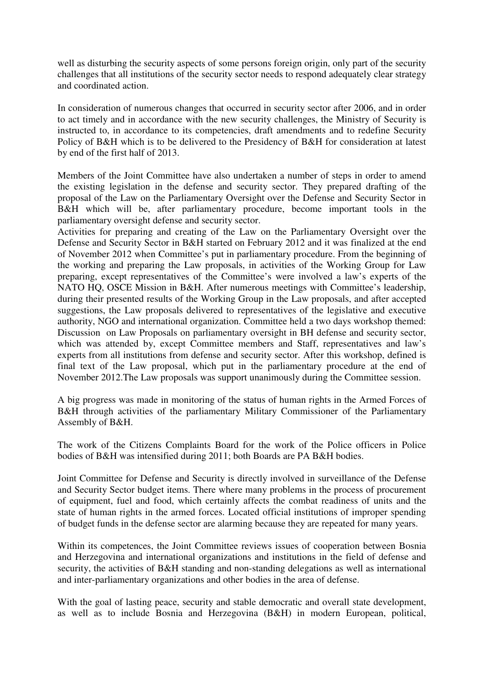well as disturbing the security aspects of some persons foreign origin, only part of the security challenges that all institutions of the security sector needs to respond adequately clear strategy and coordinated action.

In consideration of numerous changes that occurred in security sector after 2006, and in order to act timely and in accordance with the new security challenges, the Ministry of Security is instructed to, in accordance to its competencies, draft amendments and to redefine Security Policy of B&H which is to be delivered to the Presidency of B&H for consideration at latest by end of the first half of 2013.

Members of the Joint Committee have also undertaken a number of steps in order to amend the existing legislation in the defense and security sector. They prepared drafting of the proposal of the Law on the Parliamentary Oversight over the Defense and Security Sector in B&H which will be, after parliamentary procedure, become important tools in the parliamentary oversight defense and security sector.

Activities for preparing and creating of the Law on the Parliamentary Oversight over the Defense and Security Sector in B&H started on February 2012 and it was finalized at the end of November 2012 when Committee's put in parliamentary procedure. From the beginning of the working and preparing the Law proposals, in activities of the Working Group for Law preparing, except representatives of the Committee's were involved a law's experts of the NATO HQ, OSCE Mission in B&H. After numerous meetings with Committee's leadership, during their presented results of the Working Group in the Law proposals, and after accepted suggestions, the Law proposals delivered to representatives of the legislative and executive authority, NGO and international organization. Committee held a two days workshop themed: Discussion on Law Proposals on parliamentary oversight in BH defense and security sector, which was attended by, except Committee members and Staff, representatives and law's experts from all institutions from defense and security sector. After this workshop, defined is final text of the Law proposal, which put in the parliamentary procedure at the end of November 2012.The Law proposals was support unanimously during the Committee session.

A big progress was made in monitoring of the status of human rights in the Armed Forces of B&H through activities of the parliamentary Military Commissioner of the Parliamentary Assembly of B&H.

The work of the Citizens Complaints Board for the work of the Police officers in Police bodies of B&H was intensified during 2011; both Boards are PA B&H bodies.

Joint Committee for Defense and Security is directly involved in surveillance of the Defense and Security Sector budget items. There where many problems in the process of procurement of equipment, fuel and food, which certainly affects the combat readiness of units and the state of human rights in the armed forces. Located official institutions of improper spending of budget funds in the defense sector are alarming because they are repeated for many years.

Within its competences, the Joint Committee reviews issues of cooperation between Bosnia and Herzegovina and international organizations and institutions in the field of defense and security, the activities of B&H standing and non-standing delegations as well as international and inter-parliamentary organizations and other bodies in the area of defense.

With the goal of lasting peace, security and stable democratic and overall state development, as well as to include Bosnia and Herzegovina (B&H) in modern European, political,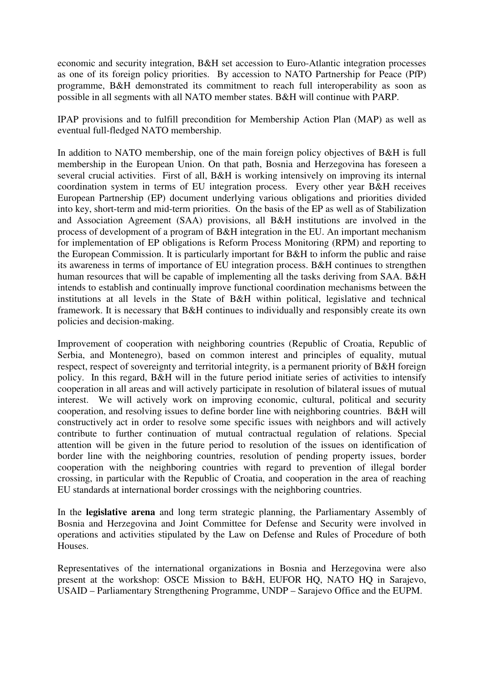economic and security integration, B&H set accession to Euro-Atlantic integration processes as one of its foreign policy priorities. By accession to NATO Partnership for Peace (PfP) programme, B&H demonstrated its commitment to reach full interoperability as soon as possible in all segments with all NATO member states. B&H will continue with PARP.

IPAP provisions and to fulfill precondition for Membership Action Plan (MAP) as well as eventual full-fledged NATO membership.

In addition to NATO membership, one of the main foreign policy objectives of B&H is full membership in the European Union. On that path, Bosnia and Herzegovina has foreseen a several crucial activities. First of all, B&H is working intensively on improving its internal coordination system in terms of EU integration process. Every other year B&H receives European Partnership (EP) document underlying various obligations and priorities divided into key, short-term and mid-term priorities. On the basis of the EP as well as of Stabilization and Association Agreement (SAA) provisions, all B&H institutions are involved in the process of development of a program of B&H integration in the EU. An important mechanism for implementation of EP obligations is Reform Process Monitoring (RPM) and reporting to the European Commission. It is particularly important for B&H to inform the public and raise its awareness in terms of importance of EU integration process. B&H continues to strengthen human resources that will be capable of implementing all the tasks deriving from SAA. B&H intends to establish and continually improve functional coordination mechanisms between the institutions at all levels in the State of B&H within political, legislative and technical framework. It is necessary that B&H continues to individually and responsibly create its own policies and decision-making.

Improvement of cooperation with neighboring countries (Republic of Croatia, Republic of Serbia, and Montenegro), based on common interest and principles of equality, mutual respect, respect of sovereignty and territorial integrity, is a permanent priority of B&H foreign policy. In this regard, B&H will in the future period initiate series of activities to intensify cooperation in all areas and will actively participate in resolution of bilateral issues of mutual interest. We will actively work on improving economic, cultural, political and security cooperation, and resolving issues to define border line with neighboring countries. B&H will constructively act in order to resolve some specific issues with neighbors and will actively contribute to further continuation of mutual contractual regulation of relations. Special attention will be given in the future period to resolution of the issues on identification of border line with the neighboring countries, resolution of pending property issues, border cooperation with the neighboring countries with regard to prevention of illegal border crossing, in particular with the Republic of Croatia, and cooperation in the area of reaching EU standards at international border crossings with the neighboring countries.

In the **legislative arena** and long term strategic planning, the Parliamentary Assembly of Bosnia and Herzegovina and Joint Committee for Defense and Security were involved in operations and activities stipulated by the Law on Defense and Rules of Procedure of both Houses.

Representatives of the international organizations in Bosnia and Herzegovina were also present at the workshop: OSCE Mission to B&H, EUFOR HQ, NATO HQ in Sarajevo, USAID – Parliamentary Strengthening Programme, UNDP – Sarajevo Office and the EUPM.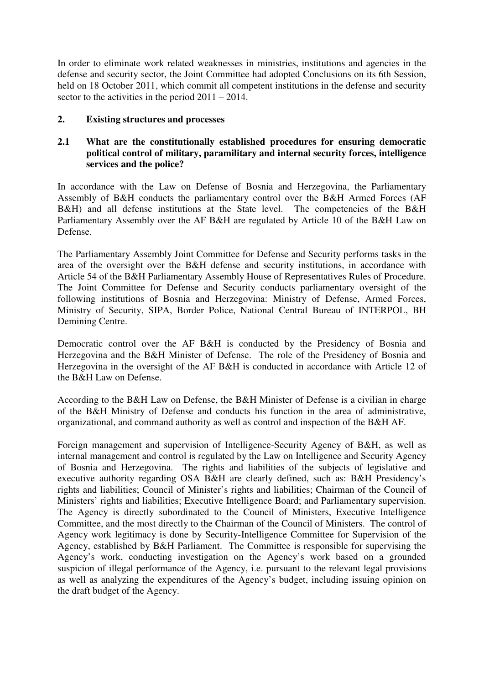In order to eliminate work related weaknesses in ministries, institutions and agencies in the defense and security sector, the Joint Committee had adopted Conclusions on its 6th Session, held on 18 October 2011, which commit all competent institutions in the defense and security sector to the activities in the period 2011 – 2014.

## **2. Existing structures and processes**

## **2.1 What are the constitutionally established procedures for ensuring democratic political control of military, paramilitary and internal security forces, intelligence services and the police?**

In accordance with the Law on Defense of Bosnia and Herzegovina, the Parliamentary Assembly of B&H conducts the parliamentary control over the B&H Armed Forces (AF B&H) and all defense institutions at the State level. The competencies of the B&H Parliamentary Assembly over the AF B&H are regulated by Article 10 of the B&H Law on Defense.

The Parliamentary Assembly Joint Committee for Defense and Security performs tasks in the area of the oversight over the B&H defense and security institutions, in accordance with Article 54 of the B&H Parliamentary Assembly House of Representatives Rules of Procedure. The Joint Committee for Defense and Security conducts parliamentary oversight of the following institutions of Bosnia and Herzegovina: Ministry of Defense, Armed Forces, Ministry of Security, SIPA, Border Police, National Central Bureau of INTERPOL, BH Demining Centre.

Democratic control over the AF B&H is conducted by the Presidency of Bosnia and Herzegovina and the B&H Minister of Defense. The role of the Presidency of Bosnia and Herzegovina in the oversight of the AF B&H is conducted in accordance with Article 12 of the B&H Law on Defense.

According to the B&H Law on Defense, the B&H Minister of Defense is a civilian in charge of the B&H Ministry of Defense and conducts his function in the area of administrative, organizational, and command authority as well as control and inspection of the B&H AF.

Foreign management and supervision of Intelligence-Security Agency of B&H, as well as internal management and control is regulated by the Law on Intelligence and Security Agency of Bosnia and Herzegovina. The rights and liabilities of the subjects of legislative and executive authority regarding OSA B&H are clearly defined, such as: B&H Presidency's rights and liabilities; Council of Minister's rights and liabilities; Chairman of the Council of Ministers' rights and liabilities; Executive Intelligence Board; and Parliamentary supervision. The Agency is directly subordinated to the Council of Ministers, Executive Intelligence Committee, and the most directly to the Chairman of the Council of Ministers. The control of Agency work legitimacy is done by Security-Intelligence Committee for Supervision of the Agency, established by B&H Parliament. The Committee is responsible for supervising the Agency's work, conducting investigation on the Agency's work based on a grounded suspicion of illegal performance of the Agency, i.e. pursuant to the relevant legal provisions as well as analyzing the expenditures of the Agency's budget, including issuing opinion on the draft budget of the Agency.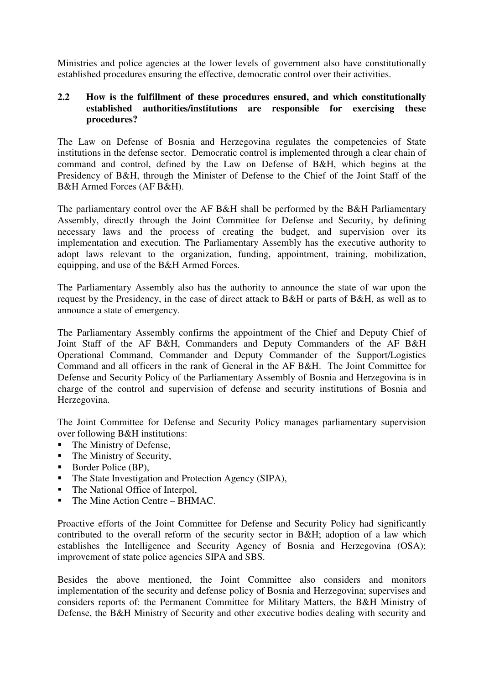Ministries and police agencies at the lower levels of government also have constitutionally established procedures ensuring the effective, democratic control over their activities.

# **2.2 How is the fulfillment of these procedures ensured, and which constitutionally established authorities/institutions are responsible for exercising these procedures?**

The Law on Defense of Bosnia and Herzegovina regulates the competencies of State institutions in the defense sector. Democratic control is implemented through a clear chain of command and control, defined by the Law on Defense of B&H, which begins at the Presidency of B&H, through the Minister of Defense to the Chief of the Joint Staff of the B&H Armed Forces (AF B&H).

The parliamentary control over the AF B&H shall be performed by the B&H Parliamentary Assembly, directly through the Joint Committee for Defense and Security, by defining necessary laws and the process of creating the budget, and supervision over its implementation and execution. The Parliamentary Assembly has the executive authority to adopt laws relevant to the organization, funding, appointment, training, mobilization, equipping, and use of the B&H Armed Forces.

The Parliamentary Assembly also has the authority to announce the state of war upon the request by the Presidency, in the case of direct attack to B&H or parts of B&H, as well as to announce a state of emergency.

The Parliamentary Assembly confirms the appointment of the Chief and Deputy Chief of Joint Staff of the AF B&H, Commanders and Deputy Commanders of the AF B&H Operational Command, Commander and Deputy Commander of the Support/Logistics Command and all officers in the rank of General in the AF B&H. The Joint Committee for Defense and Security Policy of the Parliamentary Assembly of Bosnia and Herzegovina is in charge of the control and supervision of defense and security institutions of Bosnia and Herzegovina.

The Joint Committee for Defense and Security Policy manages parliamentary supervision over following B&H institutions:

- The Ministry of Defense,
- $\blacksquare$  The Ministry of Security,
- Border Police (BP),
- The State Investigation and Protection Agency (SIPA),
- The National Office of Interpol,
- The Mine Action Centre BHMAC.

Proactive efforts of the Joint Committee for Defense and Security Policy had significantly contributed to the overall reform of the security sector in B&H; adoption of a law which establishes the Intelligence and Security Agency of Bosnia and Herzegovina (OSA); improvement of state police agencies SIPA and SBS.

Besides the above mentioned, the Joint Committee also considers and monitors implementation of the security and defense policy of Bosnia and Herzegovina; supervises and considers reports of: the Permanent Committee for Military Matters, the B&H Ministry of Defense, the B&H Ministry of Security and other executive bodies dealing with security and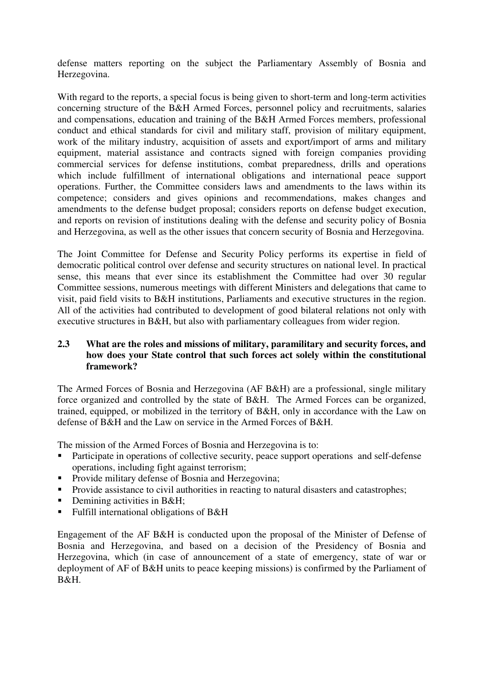defense matters reporting on the subject the Parliamentary Assembly of Bosnia and Herzegovina.

With regard to the reports, a special focus is being given to short-term and long-term activities concerning structure of the B&H Armed Forces, personnel policy and recruitments, salaries and compensations, education and training of the B&H Armed Forces members, professional conduct and ethical standards for civil and military staff, provision of military equipment, work of the military industry, acquisition of assets and export/import of arms and military equipment, material assistance and contracts signed with foreign companies providing commercial services for defense institutions, combat preparedness, drills and operations which include fulfillment of international obligations and international peace support operations. Further, the Committee considers laws and amendments to the laws within its competence; considers and gives opinions and recommendations, makes changes and amendments to the defense budget proposal; considers reports on defense budget execution, and reports on revision of institutions dealing with the defense and security policy of Bosnia and Herzegovina, as well as the other issues that concern security of Bosnia and Herzegovina.

The Joint Committee for Defense and Security Policy performs its expertise in field of democratic political control over defense and security structures on national level. In practical sense, this means that ever since its establishment the Committee had over 30 regular Committee sessions, numerous meetings with different Ministers and delegations that came to visit, paid field visits to B&H institutions, Parliaments and executive structures in the region. All of the activities had contributed to development of good bilateral relations not only with executive structures in B&H, but also with parliamentary colleagues from wider region.

# **2.3 What are the roles and missions of military, paramilitary and security forces, and how does your State control that such forces act solely within the constitutional framework?**

The Armed Forces of Bosnia and Herzegovina (AF B&H) are a professional, single military force organized and controlled by the state of B&H. The Armed Forces can be organized, trained, equipped, or mobilized in the territory of B&H, only in accordance with the Law on defense of B&H and the Law on service in the Armed Forces of B&H.

The mission of the Armed Forces of Bosnia and Herzegovina is to:

- Participate in operations of collective security, peace support operations and self-defense operations, including fight against terrorism;
- **Provide military defense of Bosnia and Herzegovina;**
- **Provide assistance to civil authorities in reacting to natural disasters and catastrophes;**
- Demining activities in B&H;
- Fulfill international obligations of B&H

Engagement of the AF B&H is conducted upon the proposal of the Minister of Defense of Bosnia and Herzegovina, and based on a decision of the Presidency of Bosnia and Herzegovina, which (in case of announcement of a state of emergency, state of war or deployment of AF of B&H units to peace keeping missions) is confirmed by the Parliament of B&H.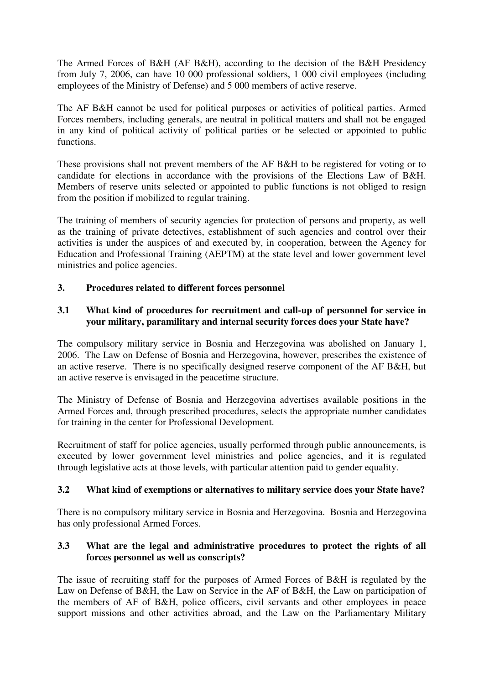The Armed Forces of B&H (AF B&H), according to the decision of the B&H Presidency from July 7, 2006, can have 10 000 professional soldiers, 1 000 civil employees (including employees of the Ministry of Defense) and 5 000 members of active reserve.

The AF B&H cannot be used for political purposes or activities of political parties. Armed Forces members, including generals, are neutral in political matters and shall not be engaged in any kind of political activity of political parties or be selected or appointed to public functions.

These provisions shall not prevent members of the AF B&H to be registered for voting or to candidate for elections in accordance with the provisions of the Elections Law of B&H. Members of reserve units selected or appointed to public functions is not obliged to resign from the position if mobilized to regular training.

The training of members of security agencies for protection of persons and property, as well as the training of private detectives, establishment of such agencies and control over their activities is under the auspices of and executed by, in cooperation, between the Agency for Education and Professional Training (AEPTM) at the state level and lower government level ministries and police agencies.

# **3. Procedures related to different forces personnel**

# **3.1 What kind of procedures for recruitment and call-up of personnel for service in your military, paramilitary and internal security forces does your State have?**

The compulsory military service in Bosnia and Herzegovina was abolished on January 1, 2006. The Law on Defense of Bosnia and Herzegovina, however, prescribes the existence of an active reserve. There is no specifically designed reserve component of the AF B&H, but an active reserve is envisaged in the peacetime structure.

The Ministry of Defense of Bosnia and Herzegovina advertises available positions in the Armed Forces and, through prescribed procedures, selects the appropriate number candidates for training in the center for Professional Development.

Recruitment of staff for police agencies, usually performed through public announcements, is executed by lower government level ministries and police agencies, and it is regulated through legislative acts at those levels, with particular attention paid to gender equality.

# **3.2 What kind of exemptions or alternatives to military service does your State have?**

There is no compulsory military service in Bosnia and Herzegovina. Bosnia and Herzegovina has only professional Armed Forces.

# **3.3 What are the legal and administrative procedures to protect the rights of all forces personnel as well as conscripts?**

The issue of recruiting staff for the purposes of Armed Forces of B&H is regulated by the Law on Defense of B&H, the Law on Service in the AF of B&H, the Law on participation of the members of AF of B&H, police officers, civil servants and other employees in peace support missions and other activities abroad, and the Law on the Parliamentary Military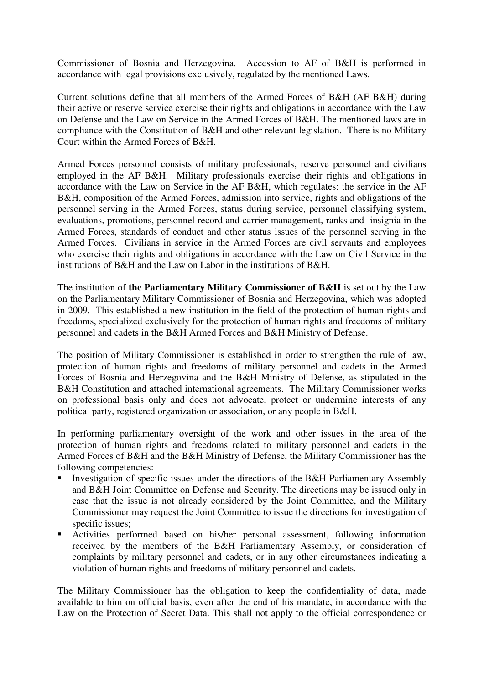Commissioner of Bosnia and Herzegovina. Accession to AF of B&H is performed in accordance with legal provisions exclusively, regulated by the mentioned Laws.

Current solutions define that all members of the Armed Forces of B&H (AF B&H) during their active or reserve service exercise their rights and obligations in accordance with the Law on Defense and the Law on Service in the Armed Forces of B&H. The mentioned laws are in compliance with the Constitution of B&H and other relevant legislation. There is no Military Court within the Armed Forces of B&H.

Armed Forces personnel consists of military professionals, reserve personnel and civilians employed in the AF B&H. Military professionals exercise their rights and obligations in accordance with the Law on Service in the AF B&H, which regulates: the service in the AF B&H, composition of the Armed Forces, admission into service, rights and obligations of the personnel serving in the Armed Forces, status during service, personnel classifying system, evaluations, promotions, personnel record and carrier management, ranks and insignia in the Armed Forces, standards of conduct and other status issues of the personnel serving in the Armed Forces. Civilians in service in the Armed Forces are civil servants and employees who exercise their rights and obligations in accordance with the Law on Civil Service in the institutions of B&H and the Law on Labor in the institutions of B&H.

The institution of **the Parliamentary Military Commissioner of B&H** is set out by the Law on the Parliamentary Military Commissioner of Bosnia and Herzegovina, which was adopted in 2009. This established a new institution in the field of the protection of human rights and freedoms, specialized exclusively for the protection of human rights and freedoms of military personnel and cadets in the B&H Armed Forces and B&H Ministry of Defense.

The position of Military Commissioner is established in order to strengthen the rule of law, protection of human rights and freedoms of military personnel and cadets in the Armed Forces of Bosnia and Herzegovina and the B&H Ministry of Defense, as stipulated in the B&H Constitution and attached international agreements. The Military Commissioner works on professional basis only and does not advocate, protect or undermine interests of any political party, registered organization or association, or any people in B&H.

In performing parliamentary oversight of the work and other issues in the area of the protection of human rights and freedoms related to military personnel and cadets in the Armed Forces of B&H and the B&H Ministry of Defense, the Military Commissioner has the following competencies:

- Investigation of specific issues under the directions of the B&H Parliamentary Assembly and B&H Joint Committee on Defense and Security. The directions may be issued only in case that the issue is not already considered by the Joint Committee, and the Military Commissioner may request the Joint Committee to issue the directions for investigation of specific issues;
- Activities performed based on his/her personal assessment, following information received by the members of the B&H Parliamentary Assembly, or consideration of complaints by military personnel and cadets, or in any other circumstances indicating a violation of human rights and freedoms of military personnel and cadets.

The Military Commissioner has the obligation to keep the confidentiality of data, made available to him on official basis, even after the end of his mandate, in accordance with the Law on the Protection of Secret Data. This shall not apply to the official correspondence or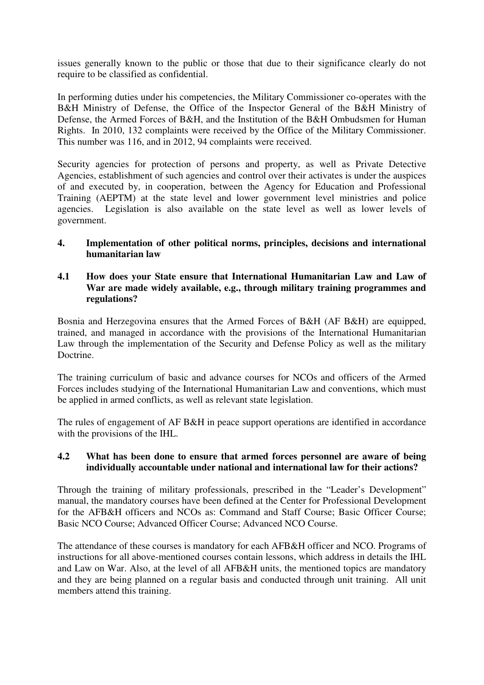issues generally known to the public or those that due to their significance clearly do not require to be classified as confidential.

In performing duties under his competencies, the Military Commissioner co-operates with the B&H Ministry of Defense, the Office of the Inspector General of the B&H Ministry of Defense, the Armed Forces of B&H, and the Institution of the B&H Ombudsmen for Human Rights. In 2010, 132 complaints were received by the Office of the Military Commissioner. This number was 116, and in 2012, 94 complaints were received.

Security agencies for protection of persons and property, as well as Private Detective Agencies, establishment of such agencies and control over their activates is under the auspices of and executed by, in cooperation, between the Agency for Education and Professional Training (AEPTM) at the state level and lower government level ministries and police agencies. Legislation is also available on the state level as well as lower levels of government.

## **4. Implementation of other political norms, principles, decisions and international humanitarian law**

## **4.1 How does your State ensure that International Humanitarian Law and Law of War are made widely available, e.g., through military training programmes and regulations?**

Bosnia and Herzegovina ensures that the Armed Forces of B&H (AF B&H) are equipped, trained, and managed in accordance with the provisions of the International Humanitarian Law through the implementation of the Security and Defense Policy as well as the military Doctrine.

The training curriculum of basic and advance courses for NCOs and officers of the Armed Forces includes studying of the International Humanitarian Law and conventions, which must be applied in armed conflicts, as well as relevant state legislation.

The rules of engagement of AF B&H in peace support operations are identified in accordance with the provisions of the IHL.

# **4.2 What has been done to ensure that armed forces personnel are aware of being individually accountable under national and international law for their actions?**

Through the training of military professionals, prescribed in the "Leader's Development" manual, the mandatory courses have been defined at the Center for Professional Development for the AFB&H officers and NCOs as: Command and Staff Course; Basic Officer Course; Basic NCO Course; Advanced Officer Course; Advanced NCO Course.

The attendance of these courses is mandatory for each AFB&H officer and NCO. Programs of instructions for all above-mentioned courses contain lessons, which address in details the IHL and Law on War. Also, at the level of all AFB&H units, the mentioned topics are mandatory and they are being planned on a regular basis and conducted through unit training. All unit members attend this training.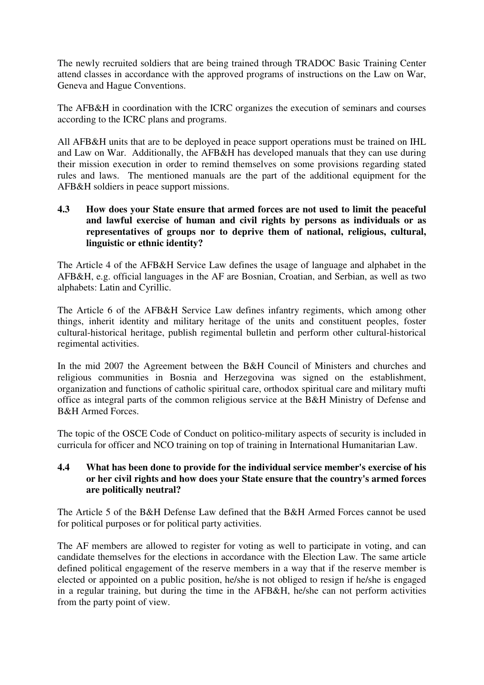The newly recruited soldiers that are being trained through TRADOC Basic Training Center attend classes in accordance with the approved programs of instructions on the Law on War, Geneva and Hague Conventions.

The AFB&H in coordination with the ICRC organizes the execution of seminars and courses according to the ICRC plans and programs.

All AFB&H units that are to be deployed in peace support operations must be trained on IHL and Law on War. Additionally, the AFB&H has developed manuals that they can use during their mission execution in order to remind themselves on some provisions regarding stated rules and laws. The mentioned manuals are the part of the additional equipment for the AFB&H soldiers in peace support missions.

## **4.3 How does your State ensure that armed forces are not used to limit the peaceful and lawful exercise of human and civil rights by persons as individuals or as representatives of groups nor to deprive them of national, religious, cultural, linguistic or ethnic identity?**

The Article 4 of the AFB&H Service Law defines the usage of language and alphabet in the AFB&H, e.g. official languages in the AF are Bosnian, Croatian, and Serbian, as well as two alphabets: Latin and Cyrillic.

The Article 6 of the AFB&H Service Law defines infantry regiments, which among other things, inherit identity and military heritage of the units and constituent peoples, foster cultural-historical heritage, publish regimental bulletin and perform other cultural-historical regimental activities.

In the mid 2007 the Agreement between the B&H Council of Ministers and churches and religious communities in Bosnia and Herzegovina was signed on the establishment, organization and functions of catholic spiritual care, orthodox spiritual care and military mufti office as integral parts of the common religious service at the B&H Ministry of Defense and B&H Armed Forces.

The topic of the OSCE Code of Conduct on politico-military aspects of security is included in curricula for officer and NCO training on top of training in International Humanitarian Law.

## **4.4 What has been done to provide for the individual service member's exercise of his or her civil rights and how does your State ensure that the country's armed forces are politically neutral?**

The Article 5 of the B&H Defense Law defined that the B&H Armed Forces cannot be used for political purposes or for political party activities.

The AF members are allowed to register for voting as well to participate in voting, and can candidate themselves for the elections in accordance with the Election Law. The same article defined political engagement of the reserve members in a way that if the reserve member is elected or appointed on a public position, he/she is not obliged to resign if he/she is engaged in a regular training, but during the time in the AFB&H, he/she can not perform activities from the party point of view.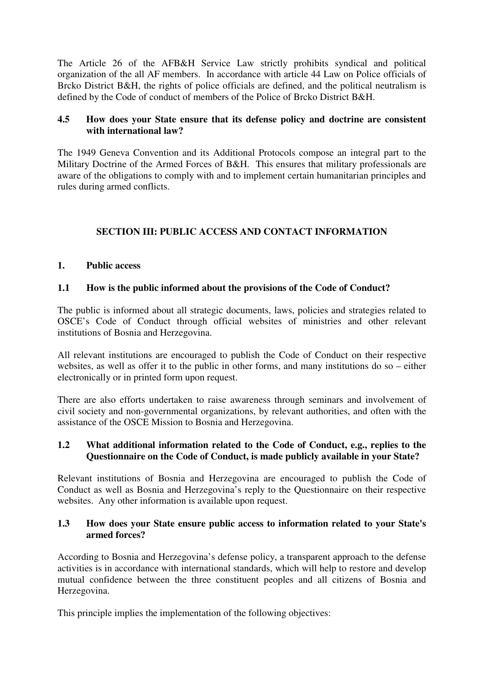The Article 26 of the AFB&H Service Law strictly prohibits syndical and political organization of the all AF members. In accordance with article 44 Law on Police officials of Brcko District B&H, the rights of police officials are defined, and the political neutralism is defined by the Code of conduct of members of the Police of Brcko District B&H.

# **4.5 How does your State ensure that its defense policy and doctrine are consistent with international law?**

The 1949 Geneva Convention and its Additional Protocols compose an integral part to the Military Doctrine of the Armed Forces of B&H. This ensures that military professionals are aware of the obligations to comply with and to implement certain humanitarian principles and rules during armed conflicts.

# **SECTION III: PUBLIC ACCESS AND CONTACT INFORMATION**

## **1. Public access**

## **1.1 How is the public informed about the provisions of the Code of Conduct?**

The public is informed about all strategic documents, laws, policies and strategies related to OSCE's Code of Conduct through official websites of ministries and other relevant institutions of Bosnia and Herzegovina.

All relevant institutions are encouraged to publish the Code of Conduct on their respective websites, as well as offer it to the public in other forms, and many institutions do so – either electronically or in printed form upon request.

There are also efforts undertaken to raise awareness through seminars and involvement of civil society and non-governmental organizations, by relevant authorities, and often with the assistance of the OSCE Mission to Bosnia and Herzegovina.

# **1.2 What additional information related to the Code of Conduct, e.g., replies to the Questionnaire on the Code of Conduct, is made publicly available in your State?**

Relevant institutions of Bosnia and Herzegovina are encouraged to publish the Code of Conduct as well as Bosnia and Herzegovina's reply to the Questionnaire on their respective websites. Any other information is available upon request.

## **1.3 How does your State ensure public access to information related to your State's armed forces?**

According to Bosnia and Herzegovina's defense policy, a transparent approach to the defense activities is in accordance with international standards, which will help to restore and develop mutual confidence between the three constituent peoples and all citizens of Bosnia and Herzegovina.

This principle implies the implementation of the following objectives: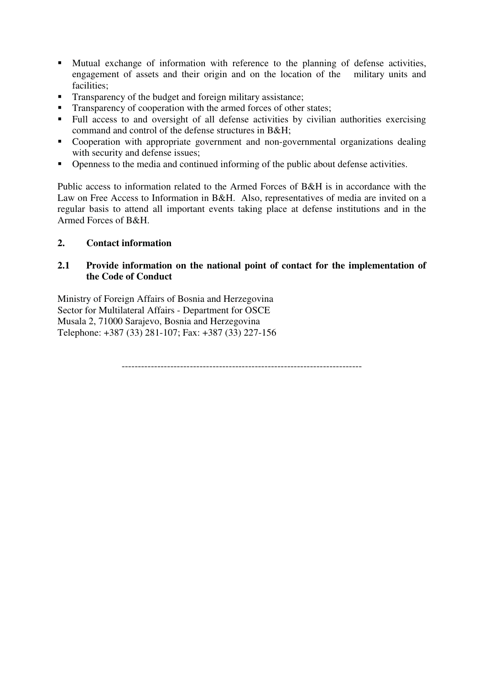- Mutual exchange of information with reference to the planning of defense activities, engagement of assets and their origin and on the location of the military units and facilities;
- **Transparency of the budget and foreign military assistance;**
- **Transparency of cooperation with the armed forces of other states;**
- Full access to and oversight of all defense activities by civilian authorities exercising command and control of the defense structures in B&H;
- Cooperation with appropriate government and non-governmental organizations dealing with security and defense issues;
- Openness to the media and continued informing of the public about defense activities.

Public access to information related to the Armed Forces of B&H is in accordance with the Law on Free Access to Information in B&H. Also, representatives of media are invited on a regular basis to attend all important events taking place at defense institutions and in the Armed Forces of B&H.

# **2. Contact information**

# **2.1 Provide information on the national point of contact for the implementation of the Code of Conduct**

Ministry of Foreign Affairs of Bosnia and Herzegovina Sector for Multilateral Affairs - Department for OSCE Musala 2, 71000 Sarajevo, Bosnia and Herzegovina Telephone: +387 (33) 281-107; Fax: +387 (33) 227-156

--------------------------------------------------------------------------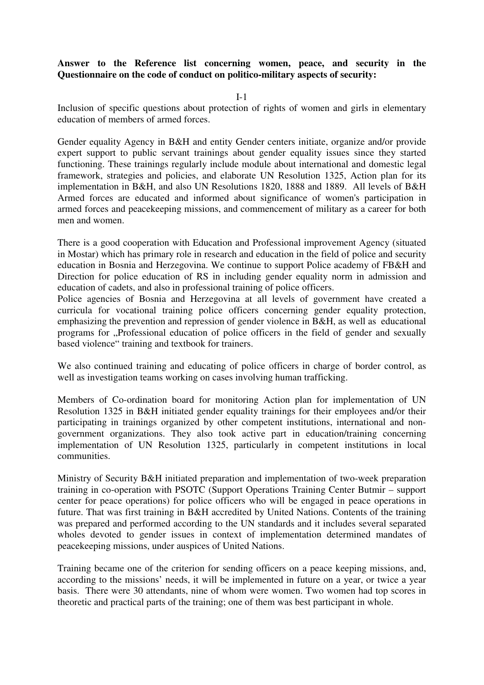## **Answer to the Reference list concerning women, peace, and security in the Questionnaire on the code of conduct on politico-military aspects of security:**

I-1

Inclusion of specific questions about protection of rights of women and girls in elementary education of members of armed forces.

Gender equality Agency in B&H and entity Gender centers initiate, organize and/or provide expert support to public servant trainings about gender equality issues since they started functioning. These trainings regularly include module about international and domestic legal framework, strategies and policies, and elaborate UN Resolution 1325, Action plan for its implementation in B&H, and also UN Resolutions 1820, 1888 and 1889. All levels of B&H Armed forces are educated and informed about significance of women's participation in armed forces and peacekeeping missions, and commencement of military as a career for both men and women.

There is a good cooperation with Education and Professional improvement Agency (situated in Mostar) which has primary role in research and education in the field of police and security education in Bosnia and Herzegovina. We continue to support Police academy of FB&H and Direction for police education of RS in including gender equality norm in admission and education of cadets, and also in professional training of police officers.

Police agencies of Bosnia and Herzegovina at all levels of government have created a curricula for vocational training police officers concerning gender equality protection, emphasizing the prevention and repression of gender violence in B&H, as well as educational programs for "Professional education of police officers in the field of gender and sexually based violence" training and textbook for trainers.

We also continued training and educating of police officers in charge of border control, as well as investigation teams working on cases involving human trafficking.

Members of Co-ordination board for monitoring Action plan for implementation of UN Resolution 1325 in B&H initiated gender equality trainings for their employees and/or their participating in trainings organized by other competent institutions, international and nongovernment organizations. They also took active part in education/training concerning implementation of UN Resolution 1325, particularly in competent institutions in local communities.

Ministry of Security B&H initiated preparation and implementation of two-week preparation training in co-operation with PSOTC (Support Operations Training Center Butmir – support center for peace operations) for police officers who will be engaged in peace operations in future. That was first training in B&H accredited by United Nations. Contents of the training was prepared and performed according to the UN standards and it includes several separated wholes devoted to gender issues in context of implementation determined mandates of peacekeeping missions, under auspices of United Nations.

Training became one of the criterion for sending officers on a peace keeping missions, and, according to the missions' needs, it will be implemented in future on a year, or twice a year basis. There were 30 attendants, nine of whom were women. Two women had top scores in theoretic and practical parts of the training; one of them was best participant in whole.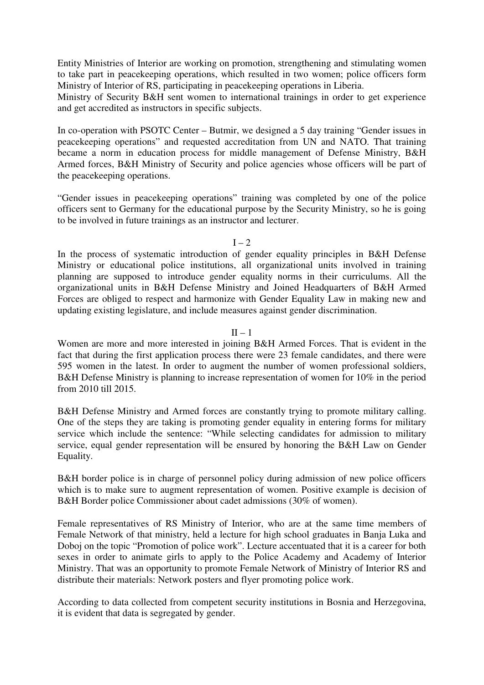Entity Ministries of Interior are working on promotion, strengthening and stimulating women to take part in peacekeeping operations, which resulted in two women; police officers form Ministry of Interior of RS, participating in peacekeeping operations in Liberia.

Ministry of Security B&H sent women to international trainings in order to get experience and get accredited as instructors in specific subjects.

In co-operation with PSOTC Center – Butmir, we designed a 5 day training "Gender issues in peacekeeping operations" and requested accreditation from UN and NATO. That training became a norm in education process for middle management of Defense Ministry, B&H Armed forces, B&H Ministry of Security and police agencies whose officers will be part of the peacekeeping operations.

"Gender issues in peacekeeping operations" training was completed by one of the police officers sent to Germany for the educational purpose by the Security Ministry, so he is going to be involved in future trainings as an instructor and lecturer.

### $I - 2$

In the process of systematic introduction of gender equality principles in B&H Defense Ministry or educational police institutions, all organizational units involved in training planning are supposed to introduce gender equality norms in their curriculums. All the organizational units in B&H Defense Ministry and Joined Headquarters of B&H Armed Forces are obliged to respect and harmonize with Gender Equality Law in making new and updating existing legislature, and include measures against gender discrimination.

### $II - 1$

Women are more and more interested in joining B&H Armed Forces. That is evident in the fact that during the first application process there were 23 female candidates, and there were 595 women in the latest. In order to augment the number of women professional soldiers, B&H Defense Ministry is planning to increase representation of women for 10% in the period from 2010 till 2015.

B&H Defense Ministry and Armed forces are constantly trying to promote military calling. One of the steps they are taking is promoting gender equality in entering forms for military service which include the sentence: "While selecting candidates for admission to military service, equal gender representation will be ensured by honoring the B&H Law on Gender Equality.

B&H border police is in charge of personnel policy during admission of new police officers which is to make sure to augment representation of women. Positive example is decision of B&H Border police Commissioner about cadet admissions (30% of women).

Female representatives of RS Ministry of Interior, who are at the same time members of Female Network of that ministry, held a lecture for high school graduates in Banja Luka and Doboj on the topic "Promotion of police work". Lecture accentuated that it is a career for both sexes in order to animate girls to apply to the Police Academy and Academy of Interior Ministry. That was an opportunity to promote Female Network of Ministry of Interior RS and distribute their materials: Network posters and flyer promoting police work.

According to data collected from competent security institutions in Bosnia and Herzegovina, it is evident that data is segregated by gender.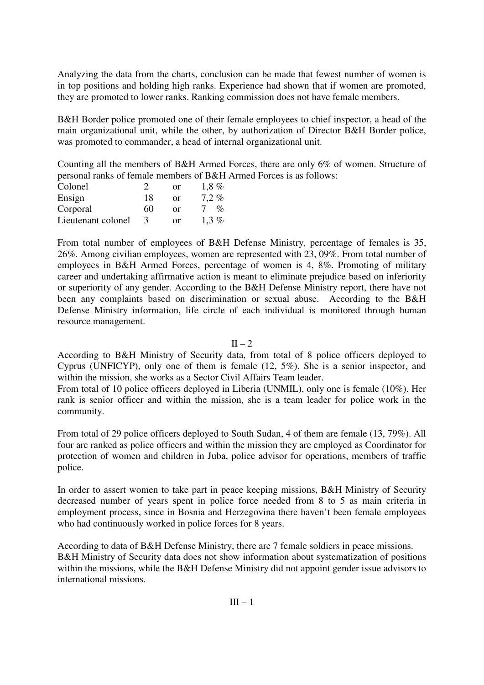Analyzing the data from the charts, conclusion can be made that fewest number of women is in top positions and holding high ranks. Experience had shown that if women are promoted, they are promoted to lower ranks. Ranking commission does not have female members.

B&H Border police promoted one of their female employees to chief inspector, a head of the main organizational unit, while the other, by authorization of Director B&H Border police, was promoted to commander, a head of internal organizational unit.

Counting all the members of B&H Armed Forces, there are only 6% of women. Structure of personal ranks of female members of B&H Armed Forces is as follows:

| Colonel            | $\gamma$ | or | $1.8\%$         |
|--------------------|----------|----|-----------------|
| Ensign             | 18       | or | $7.2\%$         |
| Corporal           | 60       | or | $\mathcal{O}_0$ |
| Lieutenant colonel |          | or | $1.3\%$         |

From total number of employees of B&H Defense Ministry, percentage of females is 35, 26%. Among civilian employees, women are represented with 23, 09%. From total number of employees in B&H Armed Forces, percentage of women is 4, 8%. Promoting of military career and undertaking affirmative action is meant to eliminate prejudice based on inferiority or superiority of any gender. According to the B&H Defense Ministry report, there have not been any complaints based on discrimination or sexual abuse. According to the B&H Defense Ministry information, life circle of each individual is monitored through human resource management.

 $II - 2$ 

According to B&H Ministry of Security data, from total of 8 police officers deployed to Cyprus (UNFICYP), only one of them is female (12, 5%). She is a senior inspector, and within the mission, she works as a Sector Civil Affairs Team leader.

From total of 10 police officers deployed in Liberia (UNMIL), only one is female (10%). Her rank is senior officer and within the mission, she is a team leader for police work in the community.

From total of 29 police officers deployed to South Sudan, 4 of them are female (13, 79%). All four are ranked as police officers and within the mission they are employed as Coordinator for protection of women and children in Juba, police advisor for operations, members of traffic police.

In order to assert women to take part in peace keeping missions, B&H Ministry of Security decreased number of years spent in police force needed from 8 to 5 as main criteria in employment process, since in Bosnia and Herzegovina there haven't been female employees who had continuously worked in police forces for 8 years.

According to data of B&H Defense Ministry, there are 7 female soldiers in peace missions. B&H Ministry of Security data does not show information about systematization of positions within the missions, while the B&H Defense Ministry did not appoint gender issue advisors to international missions.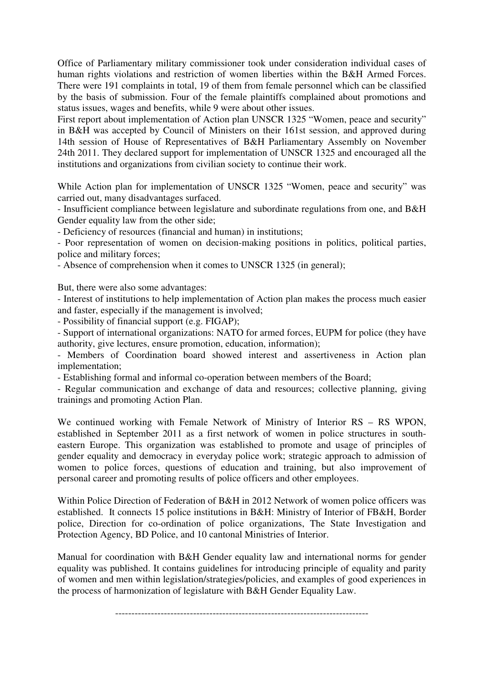Office of Parliamentary military commissioner took under consideration individual cases of human rights violations and restriction of women liberties within the B&H Armed Forces. There were 191 complaints in total, 19 of them from female personnel which can be classified by the basis of submission. Four of the female plaintiffs complained about promotions and status issues, wages and benefits, while 9 were about other issues.

First report about implementation of Action plan UNSCR 1325 "Women, peace and security" in B&H was accepted by Council of Ministers on their 161st session, and approved during 14th session of House of Representatives of B&H Parliamentary Assembly on November 24th 2011. They declared support for implementation of UNSCR 1325 and encouraged all the institutions and organizations from civilian society to continue their work.

While Action plan for implementation of UNSCR 1325 "Women, peace and security" was carried out, many disadvantages surfaced.

- Insufficient compliance between legislature and subordinate regulations from one, and B&H Gender equality law from the other side;

- Deficiency of resources (financial and human) in institutions;

- Poor representation of women on decision-making positions in politics, political parties, police and military forces;

- Absence of comprehension when it comes to UNSCR 1325 (in general);

But, there were also some advantages:

- Interest of institutions to help implementation of Action plan makes the process much easier and faster, especially if the management is involved;

- Possibility of financial support (e.g. FIGAP);

- Support of international organizations: NATO for armed forces, EUPM for police (they have authority, give lectures, ensure promotion, education, information);

- Members of Coordination board showed interest and assertiveness in Action plan implementation;

- Establishing formal and informal co-operation between members of the Board;

- Regular communication and exchange of data and resources; collective planning, giving trainings and promoting Action Plan.

We continued working with Female Network of Ministry of Interior RS – RS WPON, established in September 2011 as a first network of women in police structures in southeastern Europe. This organization was established to promote and usage of principles of gender equality and democracy in everyday police work; strategic approach to admission of women to police forces, questions of education and training, but also improvement of personal career and promoting results of police officers and other employees.

Within Police Direction of Federation of B&H in 2012 Network of women police officers was established. It connects 15 police institutions in B&H: Ministry of Interior of FB&H, Border police, Direction for co-ordination of police organizations, The State Investigation and Protection Agency, BD Police, and 10 cantonal Ministries of Interior.

Manual for coordination with B&H Gender equality law and international norms for gender equality was published. It contains guidelines for introducing principle of equality and parity of women and men within legislation/strategies/policies, and examples of good experiences in the process of harmonization of legislature with B&H Gender Equality Law.

------------------------------------------------------------------------------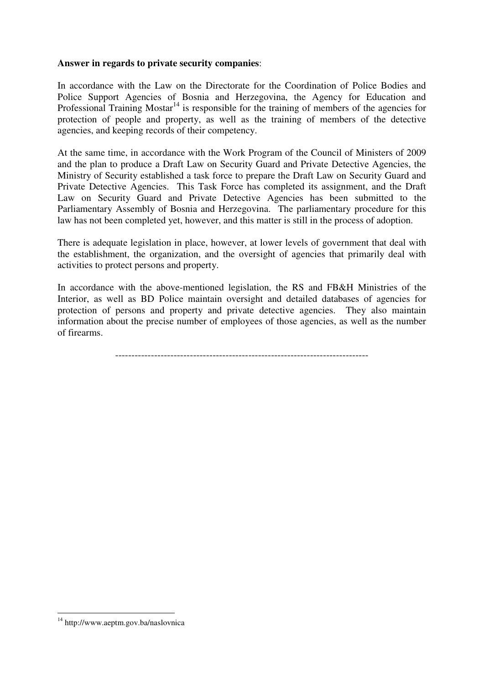## **Answer in regards to private security companies**:

In accordance with the Law on the Directorate for the Coordination of Police Bodies and Police Support Agencies of Bosnia and Herzegovina, the Agency for Education and Professional Training Mostar<sup>14</sup> is responsible for the training of members of the agencies for protection of people and property, as well as the training of members of the detective agencies, and keeping records of their competency.

At the same time, in accordance with the Work Program of the Council of Ministers of 2009 and the plan to produce a Draft Law on Security Guard and Private Detective Agencies, the Ministry of Security established a task force to prepare the Draft Law on Security Guard and Private Detective Agencies. This Task Force has completed its assignment, and the Draft Law on Security Guard and Private Detective Agencies has been submitted to the Parliamentary Assembly of Bosnia and Herzegovina. The parliamentary procedure for this law has not been completed yet, however, and this matter is still in the process of adoption.

There is adequate legislation in place, however, at lower levels of government that deal with the establishment, the organization, and the oversight of agencies that primarily deal with activities to protect persons and property.

In accordance with the above-mentioned legislation, the RS and FB&H Ministries of the Interior, as well as BD Police maintain oversight and detailed databases of agencies for protection of persons and property and private detective agencies. They also maintain information about the precise number of employees of those agencies, as well as the number of firearms.

------------------------------------------------------------------------------

-

<sup>&</sup>lt;sup>14</sup> http://www.aeptm.gov.ba/naslovnica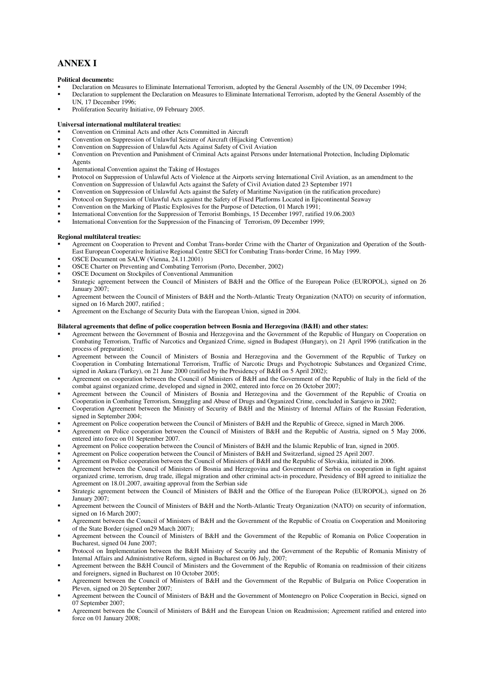## **ANNEX I**

#### **Political documents:**

- Declaration on Measures to Eliminate International Terrorism, adopted by the General Assembly of the UN, 09 December 1994;
- Declaration to supplement the Declaration on Measures to Eliminate International Terrorism, adopted by the General Assembly of the UN, 17 December 1996;
- Proliferation Security Initiative, 09 February 2005.

#### **Universal international multilateral treaties:**

- Convention on Criminal Acts and other Acts Committed in Aircraft
- Convention on Suppression of Unlawful Seizure of Aircraft (Hijacking Convention)
- Convention on Suppression of Unlawful Acts Against Safety of Civil Aviation
- Convention on Prevention and Punishment of Criminal Acts against Persons under International Protection, Including Diplomatic Agents
- International Convention against the Taking of Hostages
- Protocol on Suppression of Unlawful Acts of Violence at the Airports serving International Civil Aviation, as an amendment to the Convention on Suppression of Unlawful Acts against the Safety of Civil Aviation dated 23 September 1971
- Convention on Suppression of Unlawful Acts against the Safety of Maritime Navigation (in the ratification procedure)
- Protocol on Suppression of Unlawful Acts against the Safety of Fixed Platforms Located in Epicontinental Seaway
- Convention on the Marking of Plastic Explosives for the Purpose of Detection, 01 March 1991;
- International Convention for the Suppression of Terrorist Bombings, 15 December 1997, ratified 19.06.2003
- International Convention for the Suppression of the Financing of Terrorism, 09 December 1999;

#### **Regional multilateral treaties:**

- Agreement on Cooperation to Prevent and Combat Trans-border Crime with the Charter of Organization and Operation of the South-East European Cooperative Initiative Regional Centre SECI for Combating Trans-border Crime, 16 May 1999.
- OSCE Document on SALW (Vienna, 24.11.2001)
- OSCE Charter on Preventing and Combating Terrorism (Porto, December, 2002)
- OSCE Document on Stockpiles of Conventional Ammunition
- Strategic agreement between the Council of Ministers of B&H and the Office of the European Police (EUROPOL), signed on 26 January 2007;
- Agreement between the Council of Ministers of B&H and the North-Atlantic Treaty Organization (NATO) on security of information, signed on 16 March 2007, ratified ;
- Agreement on the Exchange of Security Data with the European Union, signed in 2004.

#### **Bilateral agreements that define of police cooperation between Bosnia and Herzegovina (B&H) and other states:**

- Agreement between the Government of Bosnia and Herzegovina and the Government of the Republic of Hungary on Cooperation on Combating Terrorism, Traffic of Narcotics and Organized Crime, signed in Budapest (Hungary), on 21 April 1996 (ratification in the process of preparation);
- Agreement between the Council of Ministers of Bosnia and Herzegovina and the Government of the Republic of Turkey on Cooperation in Combating International Terrorism, Traffic of Narcotic Drugs and Psychotropic Substances and Organized Crime, signed in Ankara (Turkey), on 21 June 2000 (ratified by the Presidency of B&H on 5 April 2002);
- Agreement on cooperation between the Council of Ministers of B&H and the Government of the Republic of Italy in the field of the combat against organized crime, developed and signed in 2002, entered into force on 26 October 2007;
- Agreement between the Council of Ministers of Bosnia and Herzegovina and the Government of the Republic of Croatia on Cooperation in Combating Terrorism, Smuggling and Abuse of Drugs and Organized Crime, concluded in Sarajevo in 2002;
- Cooperation Agreement between the Ministry of Security of B&H and the Ministry of Internal Affairs of the Russian Federation, signed in September 2004;
- Agreement on Police cooperation between the Council of Ministers of B&H and the Republic of Greece, signed in March 2006.
- Agreement on Police cooperation between the Council of Ministers of B&H and the Republic of Austria, signed on 5 May 2006, entered into force on 01 September 2007.
- Agreement on Police cooperation between the Council of Ministers of B&H and the Islamic Republic of Iran, signed in 2005.
- Agreement on Police cooperation between the Council of Ministers of B&H and Switzerland, signed 25 April 2007.
- Agreement on Police cooperation between the Council of Ministers of B&H and the Republic of Slovakia, initiated in 2006.
- Agreement between the Council of Ministers of Bosnia and Herzegovina and Government of Serbia on cooperation in fight against organized crime, terrorism, drug trade, illegal migration and other criminal acts-in procedure, Presidency of BH agreed to initialize the Agreement on 18.01.2007, awaiting approval from the Serbian side
- Strategic agreement between the Council of Ministers of B&H and the Office of the European Police (EUROPOL), signed on 26 January 2007;
- Agreement between the Council of Ministers of B&H and the North-Atlantic Treaty Organization (NATO) on security of information, signed on 16 March 2007;
- Agreement between the Council of Ministers of B&H and the Government of the Republic of Croatia on Cooperation and Monitoring of the State Border (signed on29 March 2007);
- Agreement between the Council of Ministers of B&H and the Government of the Republic of Romania on Police Cooperation in Bucharest, signed 04 June 2007;
- Protocol on Implementation between the B&H Ministry of Security and the Government of the Republic of Romania Ministry of Internal Affairs and Administrative Reform, signed in Bucharest on 06 July, 2007;
- Agreement between the B&H Council of Ministers and the Government of the Republic of Romania on readmission of their citizens and foreigners, signed in Bucharest on 10 October 2005;
- Agreement between the Council of Ministers of B&H and the Government of the Republic of Bulgaria on Police Cooperation in Pleven, signed on 20 September 2007;
- Agreement between the Council of Ministers of B&H and the Government of Montenegro on Police Cooperation in Becici, signed on 07 September 2007;
- Agreement between the Council of Ministers of B&H and the European Union on Readmission; Agreement ratified and entered into force on 01 January 2008;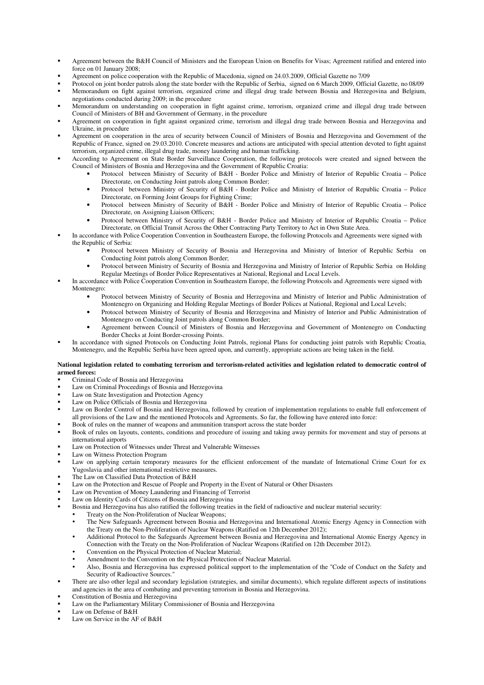- Agreement between the B&H Council of Ministers and the European Union on Benefits for Visas; Agreement ratified and entered into force on 01 January 2008;
- Agreement on police cooperation with the Republic of Macedonia, signed on 24.03.2009, Official Gazette no 7/09
- Protocol on joint border patrols along the state border with the Republic of Serbia, signed on 6 March 2009, Official Gazette, no 08/09 Memorandum on fight against terrorism, organized crime and illegal drug trade between Bosnia and Herzegovina and Belgium, negotiations conducted during 2009; in the procedure
- Memorandum on understanding on cooperation in fight against crime, terrorism, organized crime and illegal drug trade between Council of Ministers of BH and Government of Germany, in the procedure
- Agreement on cooperation in fight against organized crime, terrorism and illegal drug trade between Bosnia and Herzegovina and Ukraine, in procedure
- Agreement on cooperation in the area of security between Council of Ministers of Bosnia and Herzegovina and Government of the Republic of France, signed on 29.03.2010. Concrete measures and actions are anticipated with special attention devoted to fight against terrorism, organized crime, illegal drug trade, money laundering and human trafficking.
- According to Agreement on State Border Surveillance Cooperation, the following protocols were created and signed between the Council of Ministers of Bosnia and Herzegovina and the Government of Republic Croatia:
	- Protocol between Ministry of Security of B&H Border Police and Ministry of Interior of Republic Croatia Police Directorate, on Conducting Joint patrols along Common Border;
	- Protocol between Ministry of Security of B&H Border Police and Ministry of Interior of Republic Croatia Police Directorate, on Forming Joint Groups for Fighting Crime;
	- Protocol between Ministry of Security of B&H Border Police and Ministry of Interior of Republic Croatia Police Directorate, on Assigning Liaison Officers;
	- Protocol between Ministry of Security of B&H Border Police and Ministry of Interior of Republic Croatia Police Directorate, on Official Transit Across the Other Contracting Party Territory to Act in Own State Area.
- In accordance with Police Cooperation Convention in Southeastern Europe, the following Protocols and Agreements were signed with the Republic of Serbia:
	- Protocol between Ministry of Security of Bosnia and Herzegovina and Ministry of Interior of Republic Serbia on Conducting Joint patrols along Common Border;
	- Protocol between Ministry of Security of Bosnia and Herzegovina and Ministry of Interior of Republic Serbia on Holding Regular Meetings of Border Police Representatives at National, Regional and Local Levels.
	- In accordance with Police Cooperation Convention in Southeastern Europe, the following Protocols and Agreements were signed with Montenegro:
		- Protocol between Ministry of Security of Bosnia and Herzegovina and Ministry of Interior and Public Administration of Montenegro on Organizing and Holding Regular Meetings of Border Polices at National, Regional and Local Levels;
		- Protocol between Ministry of Security of Bosnia and Herzegovina and Ministry of Interior and Public Administration of Montenegro on Conducting Joint patrols along Common Border;
		- Agreement between Council of Ministers of Bosnia and Herzegovina and Government of Montenegro on Conducting Border Checks at Joint Border-crossing Points.
- In accordance with signed Protocols on Conducting Joint Patrols, regional Plans for conducting joint patrols with Republic Croatia, Montenegro, and the Republic Serbia have been agreed upon, and currently, appropriate actions are being taken in the field.

#### **National legislation related to combating terrorism and terrorism-related activities and legislation related to democratic control of armed forces:**

- Criminal Code of Bosnia and Herzegovina
- Law on Criminal Proceedings of Bosnia and Herzegovina
- Law on State Investigation and Protection Agency
- Law on Police Officials of Bosnia and Herzegovina
- Law on Border Control of Bosnia and Herzegovina, followed by creation of implementation regulations to enable full enforcement of all provisions of the Law and the mentioned Protocols and Agreements. So far, the following have entered into force:
- Book of rules on the manner of weapons and ammunition transport across the state border
- Book of rules on layouts, contents, conditions and procedure of issuing and taking away permits for movement and stay of persons at international airports
- Law on Protection of Witnesses under Threat and Vulnerable Witnesses
- Law on Witness Protection Program
- Law on applying certain temporary measures for the efficient enforcement of the mandate of International Crime Court for ex Yugoslavia and other international restrictive measures.
- The Law on Classified Data Protection of B&H
- Law on the Protection and Rescue of People and Property in the Event of Natural or Other Disasters
- Law on Prevention of Money Laundering and Financing of Terrorist
- Law on Identity Cards of Citizens of Bosnia and Herzegovina
- Bosnia and Herzegovina has also ratified the following treaties in the field of radioactive and nuclear material security:
	- Treaty on the Non-Proliferation of Nuclear Weapons;
		- The New Safeguards Agreement between Bosnia and Herzegovina and International Atomic Energy Agency in Connection with the Treaty on the Non-Proliferation of Nuclear Weapons (Ratified on 12th December 2012);
		- Additional Protocol to the Safeguards Agreement between Bosnia and Herzegovina and International Atomic Energy Agency in Connection with the Treaty on the Non-Proliferation of Nuclear Weapons (Ratified on 12th December 2012).
		- Convention on the Physical Protection of Nuclear Material;
		- Amendment to the Convention on the Physical Protection of Nuclear Material.
		- Also, Bosnia and Herzegovina has expressed political support to the implementation of the "Code of Conduct on the Safety and Security of Radioactive Sources."
- There are also other legal and secondary legislation (strategies, and similar documents), which regulate different aspects of institutions and agencies in the area of combating and preventing terrorism in Bosnia and Herzegovina.
- Constitution of Bosnia and Herzegovina
- Law on the Parliamentary Military Commissioner of Bosnia and Herzegovina
- Law on Defense of B&H
- Law on Service in the AF of B&H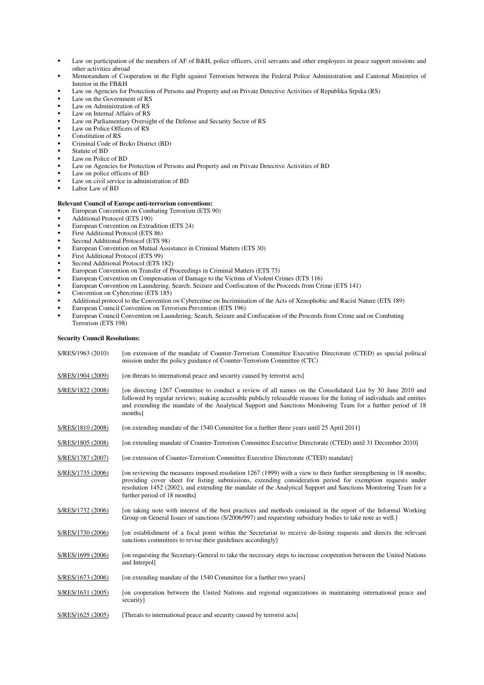- **Law on participation of the members of AF of B&H, police officers, civil servants and other employees in peace support missions and** other activities abroad
- Memorandum of Cooperation in the Fight against Terrorism between the Federal Police Administration and Cantonal Ministries of Interior in the FB&H
- Law on Agencies for Protection of Persons and Property and on Private Detective Activities of Republika Srpska (RS)
- Law on the Government of RS
- Law on Administration of RS
- Law on Internal Affairs of RS
- Law on Parliamentary Oversight of the Defense and Security Sector of RS
- Law on Police Officers of RS
- Constitution of RS
- Criminal Code of Brcko District (BD)
- Statute of BD
- Law on Police of BD
- Law on Agencies for Protection of Persons and Property and on Private Detective Activities of BD
- Law on police officers of BD
- Law on civil service in administration of BD
- Labor Law of BD

#### **Relevant Council of Europe anti-terrorism conventions:**

- European Convention on Combating Terrorism (ETS 90)
- Additional Protocol (ETS 190)
- European Convention on Extradition (ETS 24)
- First Additional Protocol (ETS 86)
- Second Additional Protocol (ETS 98)
- European Convention on Mutual Assistance in Criminal Matters (ETS 30)
- First Additional Protocol (ETS 99)
- Second Additional Protocol (ETS 182)
- European Convention on Transfer of Proceedings in Criminal Matters (ETS 73)
- European Convention on Compensation of Damage to the Victims of Violent Crimes (ETS 116)
- European Convention on Laundering, Search, Seizure and Confiscation of the Proceeds from Crime (ETS 141)
- Convention on Cybercrime (ETS 185)
- Additional protocol to the Convention on Cybercrime on Incrimination of the Acts of Xenophobic and Racist Nature (ETS 189)
- European Council Convention on Terrorism Prevention (ETS 196) European Council Convention on Laundering, Search, Seizure and Confiscation of the Proceeds from Crime and on Combating
- Terrorism (ETS 198)

#### **Security Council Resolutions:**

| S/RES/1963 (2010) | [on extension of the mandate of Counter-Terrorism Committee Executive Directorate (CTED) as special political<br>mission under the policy guidance of Counter-Terrorism Committee (CTC)                                                                                                                                                                                             |
|-------------------|-------------------------------------------------------------------------------------------------------------------------------------------------------------------------------------------------------------------------------------------------------------------------------------------------------------------------------------------------------------------------------------|
| S/RES/1904 (2009) | [on threats to international peace and security caused by terrorist acts]                                                                                                                                                                                                                                                                                                           |
| S/RES/1822 (2008) | [on directing 1267 Committee to conduct a review of all names on the Consolidated List by 30 June 2010 and<br>followed by regular reviews; making accessible publicly releasable reasons for the listing of individuals and entities<br>and extending the mandate of the Analytical Support and Sanctions Monitoring Team for a further period of 18<br>months]                     |
| S/RES/1810 (2008) | [on extending mandate of the 1540 Committee for a further three years until 25 April 2011]                                                                                                                                                                                                                                                                                          |
| S/RES/1805 (2008) | [on extending mandate of Counter-Terrorism Committee Executive Directorate (CTED) until 31 December 2010]                                                                                                                                                                                                                                                                           |
| S/RES/1787 (2007) | [on extension of Counter-Terrorism Committee Executive Directorate (CTED) mandate]                                                                                                                                                                                                                                                                                                  |
| S/RES/1735 (2006) | [on reviewing the measures imposed resolution 1267 (1999) with a view to their further strengthening in 18 months;<br>providing cover sheet for listing submissions, extending consideration period for exemption requests under<br>resolution 1452 (2002), and extending the mandate of the Analytical Support and Sanctions Monitoring Team for a<br>further period of 18 months] |
| S/RES/1732 (2006) | [on taking note with interest of the best practices and methods contained in the report of the Informal Working<br>Group on General Issues of sanctions (S/2006/997) and requesting subsidiary bodies to take note as well.]                                                                                                                                                        |
| S/RES/1730 (2006) | [on establishment of a focal point within the Secretariat to receive de-listing requests and directs the relevant<br>sanctions committees to revise their guidelines accordingly                                                                                                                                                                                                    |
| S/RES/1699 (2006) | [on requesting the Secretary-General to take the necessary steps to increase cooperation between the United Nations<br>and Interpol]                                                                                                                                                                                                                                                |
| S/RES/1673 (2006) | [on extending mandate of the 1540 Committee for a further two years]                                                                                                                                                                                                                                                                                                                |
| S/RES/1631 (2005) | [on cooperation between the United Nations and regional organizations in maintaining international peace and<br>security]                                                                                                                                                                                                                                                           |
| S/RES/1625 (2005) | [Threats to international peace and security caused by terrorist acts]                                                                                                                                                                                                                                                                                                              |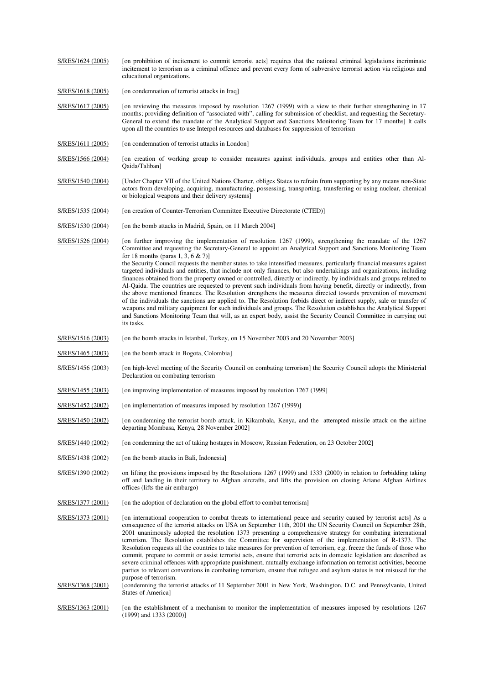| S/RES/1624 (2005) | [on prohibition of incitement to commit terrorist acts] requires that the national criminal legislations incriminate<br>incitement to terrorism as a criminal offence and prevent every form of subversive terrorist action via religious and<br>educational organizations.                                                                                                                                                                                                                                                                                                                                                                                                                                                                                                                                                                                                                                                                                                                                                                                                                                                                                                                                                                                              |
|-------------------|--------------------------------------------------------------------------------------------------------------------------------------------------------------------------------------------------------------------------------------------------------------------------------------------------------------------------------------------------------------------------------------------------------------------------------------------------------------------------------------------------------------------------------------------------------------------------------------------------------------------------------------------------------------------------------------------------------------------------------------------------------------------------------------------------------------------------------------------------------------------------------------------------------------------------------------------------------------------------------------------------------------------------------------------------------------------------------------------------------------------------------------------------------------------------------------------------------------------------------------------------------------------------|
| S/RES/1618 (2005) | [on condemnation of terrorist attacks in Iraq]                                                                                                                                                                                                                                                                                                                                                                                                                                                                                                                                                                                                                                                                                                                                                                                                                                                                                                                                                                                                                                                                                                                                                                                                                           |
| S/RES/1617 (2005) | [on reviewing the measures imposed by resolution 1267 (1999) with a view to their further strengthening in 17<br>months; providing definition of "associated with", calling for submission of checklist, and requesting the Secretary-<br>General to extend the mandate of the Analytical Support and Sanctions Monitoring Team for 17 months] It calls<br>upon all the countries to use Interpol resources and databases for suppression of terrorism                                                                                                                                                                                                                                                                                                                                                                                                                                                                                                                                                                                                                                                                                                                                                                                                                   |
| S/RES/1611 (2005) | [on condemnation of terrorist attacks in London]                                                                                                                                                                                                                                                                                                                                                                                                                                                                                                                                                                                                                                                                                                                                                                                                                                                                                                                                                                                                                                                                                                                                                                                                                         |
| S/RES/1566 (2004) | [on creation of working group to consider measures against individuals, groups and entities other than Al-<br>Qaida/Taliban]                                                                                                                                                                                                                                                                                                                                                                                                                                                                                                                                                                                                                                                                                                                                                                                                                                                                                                                                                                                                                                                                                                                                             |
| S/RES/1540 (2004) | [Under Chapter VII of the United Nations Charter, obliges States to refrain from supporting by any means non-State<br>actors from developing, acquiring, manufacturing, possessing, transporting, transferring or using nuclear, chemical<br>or biological weapons and their delivery systems]                                                                                                                                                                                                                                                                                                                                                                                                                                                                                                                                                                                                                                                                                                                                                                                                                                                                                                                                                                           |
| S/RES/1535 (2004) | [on creation of Counter-Terrorism Committee Executive Directorate (CTED)]                                                                                                                                                                                                                                                                                                                                                                                                                                                                                                                                                                                                                                                                                                                                                                                                                                                                                                                                                                                                                                                                                                                                                                                                |
| S/RES/1530 (2004) | [on the bomb attacks in Madrid, Spain, on 11 March 2004]                                                                                                                                                                                                                                                                                                                                                                                                                                                                                                                                                                                                                                                                                                                                                                                                                                                                                                                                                                                                                                                                                                                                                                                                                 |
| S/RES/1526 (2004) | [on further improving the implementation of resolution 1267 (1999), strengthening the mandate of the 1267<br>Committee and requesting the Secretary-General to appoint an Analytical Support and Sanctions Monitoring Team<br>for 18 months (paras 1, 3, 6 $\&$ 7)]<br>the Security Council requests the member states to take intensified measures, particularly financial measures against<br>targeted individuals and entities, that include not only finances, but also undertakings and organizations, including<br>finances obtained from the property owned or controlled, directly or indirectly, by individuals and groups related to<br>Al-Qaida. The countries are requested to prevent such individuals from having benefit, directly or indirectly, from<br>the above mentioned finances. The Resolution strengthens the measures directed towards prevention of movement<br>of the individuals the sanctions are applied to. The Resolution forbids direct or indirect supply, sale or transfer of<br>weapons and military equipment for such individuals and groups. The Resolution establishes the Analytical Support<br>and Sanctions Monitoring Team that will, as an expert body, assist the Security Council Committee in carrying out<br>its tasks. |
| S/RES/1516 (2003) | [on the bomb attacks in Istanbul, Turkey, on 15 November 2003 and 20 November 2003]                                                                                                                                                                                                                                                                                                                                                                                                                                                                                                                                                                                                                                                                                                                                                                                                                                                                                                                                                                                                                                                                                                                                                                                      |
| S/RES/1465 (2003) | [on the bomb attack in Bogota, Colombia]                                                                                                                                                                                                                                                                                                                                                                                                                                                                                                                                                                                                                                                                                                                                                                                                                                                                                                                                                                                                                                                                                                                                                                                                                                 |
| S/RES/1456 (2003) | [on high-level meeting of the Security Council on combating terrorism] the Security Council adopts the Ministerial<br>Declaration on combating terrorism                                                                                                                                                                                                                                                                                                                                                                                                                                                                                                                                                                                                                                                                                                                                                                                                                                                                                                                                                                                                                                                                                                                 |
| S/RES/1455 (2003) | [on improving implementation of measures imposed by resolution 1267 (1999]                                                                                                                                                                                                                                                                                                                                                                                                                                                                                                                                                                                                                                                                                                                                                                                                                                                                                                                                                                                                                                                                                                                                                                                               |
| S/RES/1452 (2002) | [on implementation of measures imposed by resolution 1267 (1999)]                                                                                                                                                                                                                                                                                                                                                                                                                                                                                                                                                                                                                                                                                                                                                                                                                                                                                                                                                                                                                                                                                                                                                                                                        |
| S/RES/1450 (2002) | [on condemning the terrorist bomb attack, in Kikambala, Kenya, and the attempted missile attack on the airline<br>departing Mombasa, Kenya, 28 November 2002]                                                                                                                                                                                                                                                                                                                                                                                                                                                                                                                                                                                                                                                                                                                                                                                                                                                                                                                                                                                                                                                                                                            |
| S/RES/1440 (2002) | [on condemning the act of taking hostages in Moscow, Russian Federation, on 23 October 2002]                                                                                                                                                                                                                                                                                                                                                                                                                                                                                                                                                                                                                                                                                                                                                                                                                                                                                                                                                                                                                                                                                                                                                                             |
| S/RES/1438 (2002) | [on the bomb attacks in Bali, Indonesia]                                                                                                                                                                                                                                                                                                                                                                                                                                                                                                                                                                                                                                                                                                                                                                                                                                                                                                                                                                                                                                                                                                                                                                                                                                 |
| S/RES/1390 (2002) | on lifting the provisions imposed by the Resolutions 1267 (1999) and 1333 (2000) in relation to forbidding taking<br>off and landing in their territory to Afghan aircrafts, and lifts the provision on closing Ariane Afghan Airlines<br>offices (lifts the air embargo)                                                                                                                                                                                                                                                                                                                                                                                                                                                                                                                                                                                                                                                                                                                                                                                                                                                                                                                                                                                                |
| S/RES/1377 (2001) | [on the adoption of declaration on the global effort to combat terrorism]                                                                                                                                                                                                                                                                                                                                                                                                                                                                                                                                                                                                                                                                                                                                                                                                                                                                                                                                                                                                                                                                                                                                                                                                |
| S/RES/1373 (2001) | [on international cooperation to combat threats to international peace and security caused by terrorist acts] As a<br>consequence of the terrorist attacks on USA on September 11th, 2001 the UN Security Council on September 28th,<br>2001 unanimously adopted the resolution 1373 presenting a comprehensive strategy for combating international<br>terrorism. The Resolution establishes the Committee for supervision of the implementation of R-1373. The<br>Resolution requests all the countries to take measures for prevention of terrorism, e.g. freeze the funds of those who<br>commit, prepare to commit or assist terrorist acts, ensure that terrorist acts in domestic legislation are described as<br>severe criminal offences with appropriate punishment, mutually exchange information on terrorist activities, become<br>parties to relevant conventions in combating terrorism, ensure that refugee and asylum status is not misused for the<br>purpose of terrorism.                                                                                                                                                                                                                                                                            |
| S/RES/1368 (2001) | [condemning the terrorist attacks of 11 September 2001 in New York, Washington, D.C. and Pennsylvania, United<br>States of America]                                                                                                                                                                                                                                                                                                                                                                                                                                                                                                                                                                                                                                                                                                                                                                                                                                                                                                                                                                                                                                                                                                                                      |
| S/RES/1363 (2001) | [on the establishment of a mechanism to monitor the implementation of measures imposed by resolutions 1267<br>$(1999)$ and 1333 $(2000)$ ]                                                                                                                                                                                                                                                                                                                                                                                                                                                                                                                                                                                                                                                                                                                                                                                                                                                                                                                                                                                                                                                                                                                               |